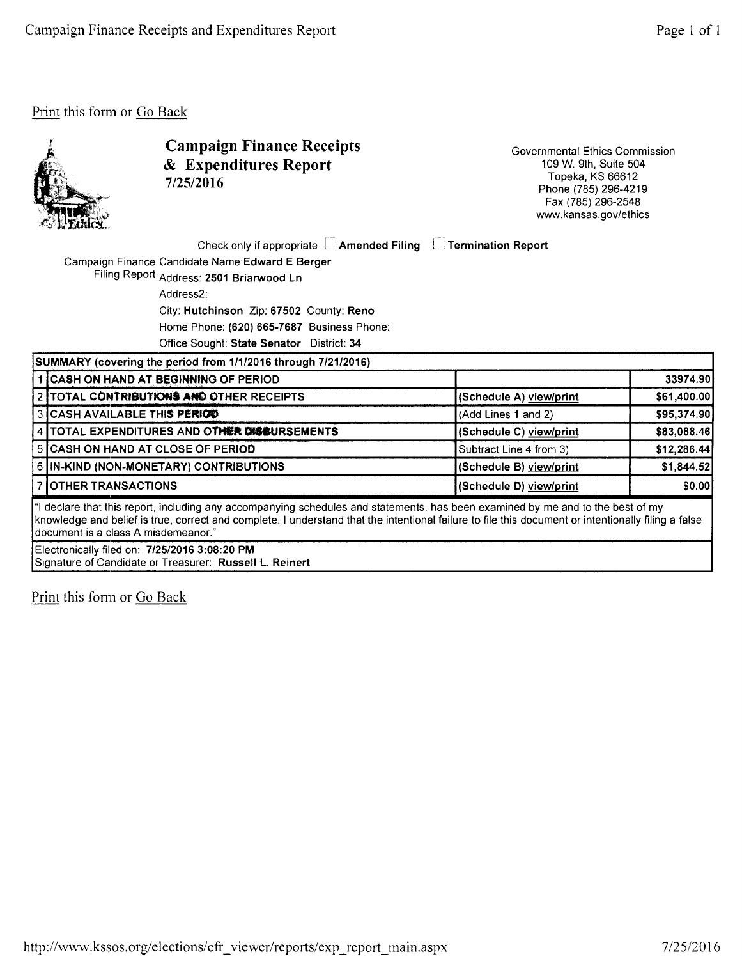

Campaign Finance Receipts & Expenditures Report 7/25/2016

Governmental Ethics Commission 109 W. 9th, Suite 504 Topeka, KS 66612 Phone (785) 296-4219 Fax (785) 296-2548 www.kansas.gov/ethics

Check only if appropriate  $\,\Box$  Amended Filing  $\,\,\Box$  Termination Report

Campaign Finance Candidate Name:Edward E Berger

Filing Report Address: 2501 Briarwood Ln Address2:

City: Hutchinson Zip: 67502 County: Reno

Home Phone: (620) 665-7687 Business Phone:

Office Sought: State Senator District: 34

|                                                                                                                                                                                                                                                                                                                                | SUMMARY (covering the period from 1/1/2016 through 7/21/2016) |                         |              |  |  |
|--------------------------------------------------------------------------------------------------------------------------------------------------------------------------------------------------------------------------------------------------------------------------------------------------------------------------------|---------------------------------------------------------------|-------------------------|--------------|--|--|
|                                                                                                                                                                                                                                                                                                                                | 1 CASH ON HAND AT BEGINNING OF PERIOD                         |                         | 33974.90     |  |  |
|                                                                                                                                                                                                                                                                                                                                | 2 TOTAL CONTRIBUTIONS AND OTHER RECEIPTS                      | (Schedule A) view/print | \$61,400.00  |  |  |
|                                                                                                                                                                                                                                                                                                                                | 3 CASH AVAILABLE THIS PERIOD                                  | (Add Lines 1 and 2)     | \$95,374.90  |  |  |
|                                                                                                                                                                                                                                                                                                                                | 4   TOTAL EXPENDITURES AND OTHER DISBURSEMENTS                | (Schedule C) view/print | \$83,088.46  |  |  |
|                                                                                                                                                                                                                                                                                                                                | 5 CASH ON HAND AT CLOSE OF PERIOD                             | Subtract Line 4 from 3) | \$12,286.44] |  |  |
|                                                                                                                                                                                                                                                                                                                                | 6 IN-KIND (NON-MONETARY) CONTRIBUTIONS                        | (Schedule B) view/print | \$1,844.52   |  |  |
|                                                                                                                                                                                                                                                                                                                                | <b>7 OTHER TRANSACTIONS</b>                                   | (Schedule D) view/print | \$0.00       |  |  |
| "I declare that this report, including any accompanying schedules and statements, has been examined by me and to the best of my<br>knowledge and belief is true, correct and complete. I understand that the intentional failure to file this document or intentionally filing a false<br>Idocument is a class A misdemeanor." |                                                               |                         |              |  |  |
|                                                                                                                                                                                                                                                                                                                                | Electronically filed on: 7/25/2016 3:08:20 PM                 |                         |              |  |  |

Signature of Candidate or Treasurer: Russell L. Reinert

Print this form or Go Back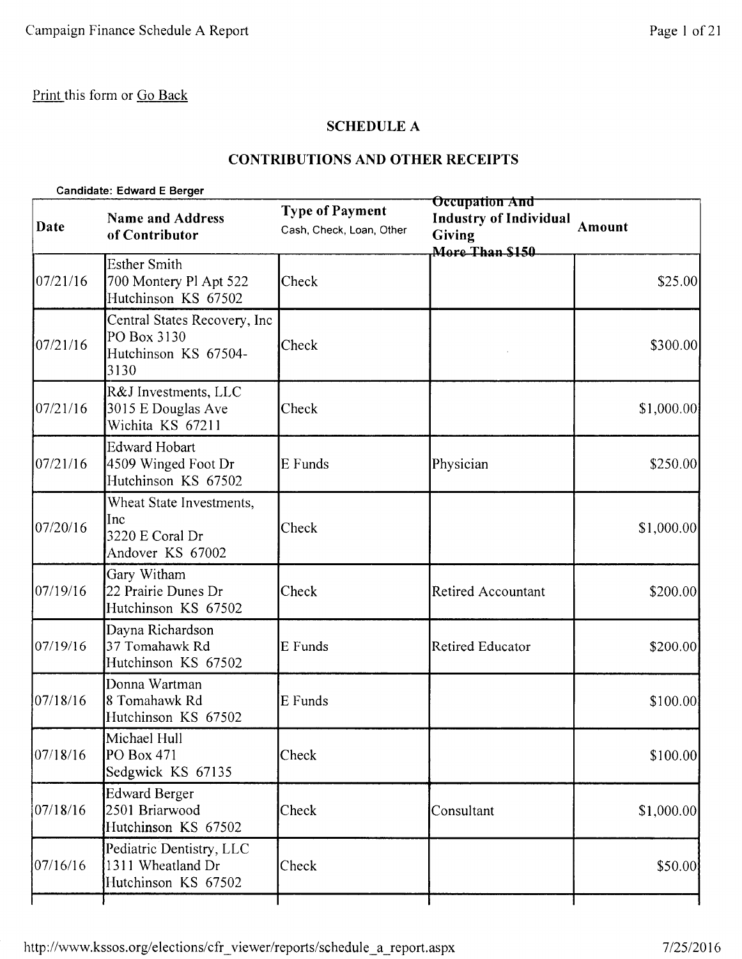# SCHEDULE A

# CONTRIBUTIONS AND OTHER RECEIPTS

| Date     | <b>Name and Address</b><br>of Contributor                                   | <b>Type of Payment</b><br>Cash, Check, Loan, Other | <b>Occupation And</b><br><b>Industry of Individual</b><br><b>Giving</b><br>More Than \$150 | Amount      |
|----------|-----------------------------------------------------------------------------|----------------------------------------------------|--------------------------------------------------------------------------------------------|-------------|
| 07/21/16 | <b>Esther Smith</b><br>700 Montery Pl Apt 522<br>Hutchinson KS 67502        | Check                                              |                                                                                            | \$25.00     |
| 07/21/16 | Central States Recovery, Inc<br>PO Box 3130<br>Hutchinson KS 67504-<br>3130 | Check                                              |                                                                                            | \$300.00    |
| 07/21/16 | R&J Investments, LLC<br>3015 E Douglas Ave<br>Wichita KS 67211              | Check                                              |                                                                                            | \$1,000.00  |
| 07/21/16 | <b>Edward Hobart</b><br>4509 Winged Foot Dr<br>Hutchinson KS 67502          | E Funds                                            | Physician                                                                                  | \$250.00    |
| 07/20/16 | Wheat State Investments,<br>Inc<br>3220 E Coral Dr<br>Andover KS 67002      | Check                                              |                                                                                            | \$1,000.00] |
| 07/19/16 | Gary Witham<br>22 Prairie Dunes Dr<br>Hutchinson KS 67502                   | Check                                              | Retired Accountant                                                                         | \$200.00    |
| 07/19/16 | Dayna Richardson<br>37 Tomahawk Rd<br>Hutchinson KS 67502                   | E Funds                                            | Retired Educator                                                                           | \$200.00    |
| 07/18/16 | Donna Wartman<br>8 Tomahawk Rd<br>Hutchinson KS 67502                       | E Funds                                            |                                                                                            | \$100.00    |
| 07/18/16 | Michael Hull<br>PO Box 471<br>Sedgwick KS 67135                             | Check                                              |                                                                                            | \$100.00    |
| 07/18/16 | <b>Edward Berger</b><br>2501 Briarwood<br>Hutchinson KS 67502               | Check                                              | Consultant                                                                                 | \$1,000.00  |
| 07/16/16 | Pediatric Dentistry, LLC<br>1311 Wheatland Dr<br>Hutchinson KS 67502        | Check                                              |                                                                                            | \$50.00     |
|          |                                                                             |                                                    |                                                                                            |             |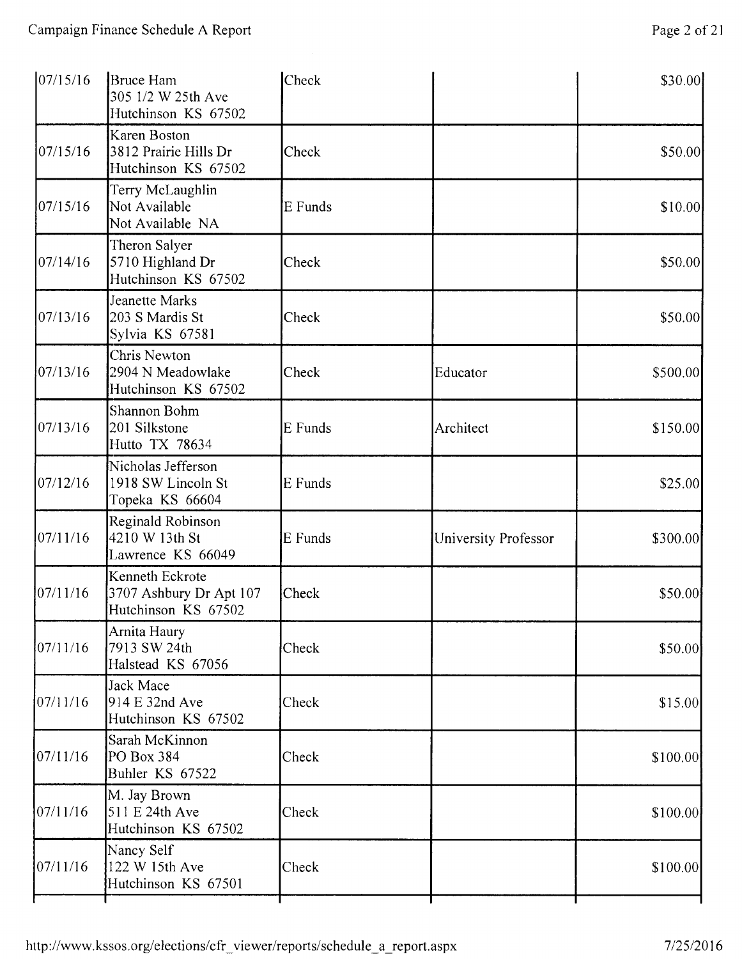| 07/15/16   | <b>Bruce Ham</b><br>305 1/2 W 25th Ave<br>Hutchinson KS 67502     | Check   |                      | \$30.00   |
|------------|-------------------------------------------------------------------|---------|----------------------|-----------|
| 07/15/16   | Karen Boston<br>3812 Prairie Hills Dr<br>Hutchinson KS 67502      | Check   |                      | \$50.00   |
| 07/15/16   | Terry McLaughlin<br>Not Available<br>Not Available NA             | E Funds |                      | \$10.00   |
| 07/14/16   | Theron Salyer<br>5710 Highland Dr<br>Hutchinson KS 67502          | Check   |                      | \$50.00   |
| 07/13/16   | Jeanette Marks<br>203 S Mardis St<br>Sylvia KS 67581              | Check   |                      | \$50.00   |
| 07/13/16   | Chris Newton<br>2904 N Meadowlake<br>Hutchinson KS 67502          | Check   | Educator             | \$500.00  |
| 07/13/16   | Shannon Bohm<br>201 Silkstone<br>Hutto TX 78634                   | E Funds | Architect            | \$150.00  |
| 07/12/16   | Nicholas Jefferson<br>1918 SW Lincoln St<br>Topeka KS 66604       | E Funds |                      | \$25.00   |
| 07/11/16   | Reginald Robinson<br>4210 W 13th St<br>Lawrence KS 66049          | E Funds | University Professor | \$300.00  |
| 07/11/16   | Kenneth Eckrote<br>3707 Ashbury Dr Apt 107<br>Hutchinson KS 67502 | Check   |                      | \$50.00   |
| 07/11/16   | Arnita Haury<br>7913 SW 24th<br>Halstead KS 67056                 | Check   |                      | \$50.00   |
| [07/11/16] | Jack Mace<br>914 E 32nd Ave<br>Hutchinson KS 67502                | Check   |                      | \$15.00   |
| 07/11/16   | Sarah McKinnon<br>PO Box 384<br>Buhler KS 67522                   | Check   |                      | \$100.00] |
| 07/11/16   | M. Jay Brown<br>511 E 24th Ave<br>Hutchinson KS 67502             | Check   |                      | \$100.00  |
| 07/11/16   | Nancy Self<br>122 W 15th Ave<br>Hutchinson KS 67501               | Check   |                      | \$100.00  |
|            |                                                                   |         |                      |           |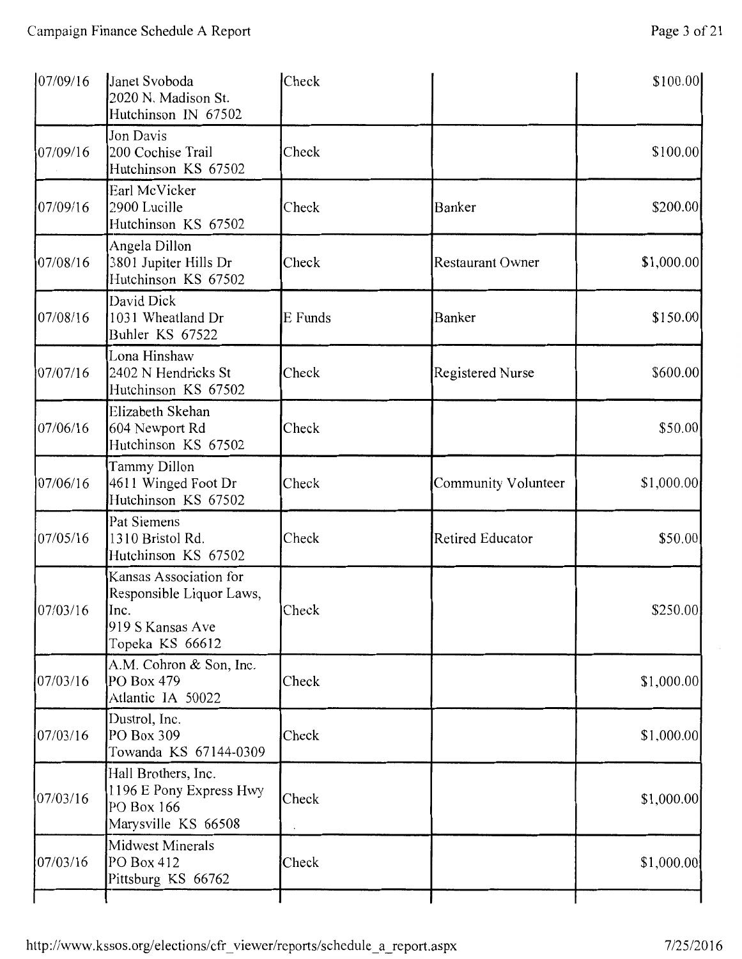| 07/09/16 | Janet Svoboda<br>2020 N. Madison St.<br>Hutchinson IN 67502                                       | Check   |                         | \$100.00    |
|----------|---------------------------------------------------------------------------------------------------|---------|-------------------------|-------------|
| 07/09/16 | Jon Davis<br>200 Cochise Trail<br>Hutchinson KS 67502                                             | Check   |                         | \$100.00]   |
| 07/09/16 | Earl McVicker<br>2900 Lucille<br>Hutchinson KS 67502                                              | Check   | Banker                  | \$200.00    |
| 07/08/16 | Angela Dillon<br>3801 Jupiter Hills Dr<br>Hutchinson KS 67502                                     | Check   | <b>Restaurant Owner</b> | \$1,000.00  |
| 07/08/16 | David Dick<br>1031 Wheatland Dr<br>Buhler KS 67522                                                | E Funds | Banker                  | \$150.00    |
| 07/07/16 | Lona Hinshaw<br>2402 N Hendricks St<br>Hutchinson KS 67502                                        | Check   | Registered Nurse        | \$600.00    |
| 07/06/16 | Elizabeth Skehan<br>604 Newport Rd<br>Hutchinson KS 67502                                         | Check   |                         | \$50.00     |
| 07/06/16 | Tammy Dillon<br>4611 Winged Foot Dr<br>Hutchinson KS 67502                                        | Check   | Community Volunteer     | \$1,000.00  |
| 07/05/16 | Pat Siemens<br>1310 Bristol Rd.<br>Hutchinson KS 67502                                            | Check   | Retired Educator        | \$50.00     |
| 07/03/16 | Kansas Association for<br>Responsible Liquor Laws,<br>Inc.<br>919 S Kansas Ave<br>Topeka KS 66612 | Check   |                         | \$250.00    |
| 07/03/16 | A.M. Cohron & Son, Inc.<br>PO Box 479<br>Atlantic IA 50022                                        | Check   |                         | \$1,000.00  |
| 07/03/16 | Dustrol, Inc.<br>PO Box 309<br>Towanda KS 67144-0309                                              | Check   |                         | \$1,000.00  |
| 07/03/16 | Hall Brothers, Inc.<br>1196 E Pony Express Hwy<br>PO Box 166<br>Marysville KS 66508               | Check   |                         | \$1,000.00] |
| 07/03/16 | <b>Midwest Minerals</b><br>PO Box 412<br>Pittsburg KS 66762                                       | Check   |                         | \$1,000.00] |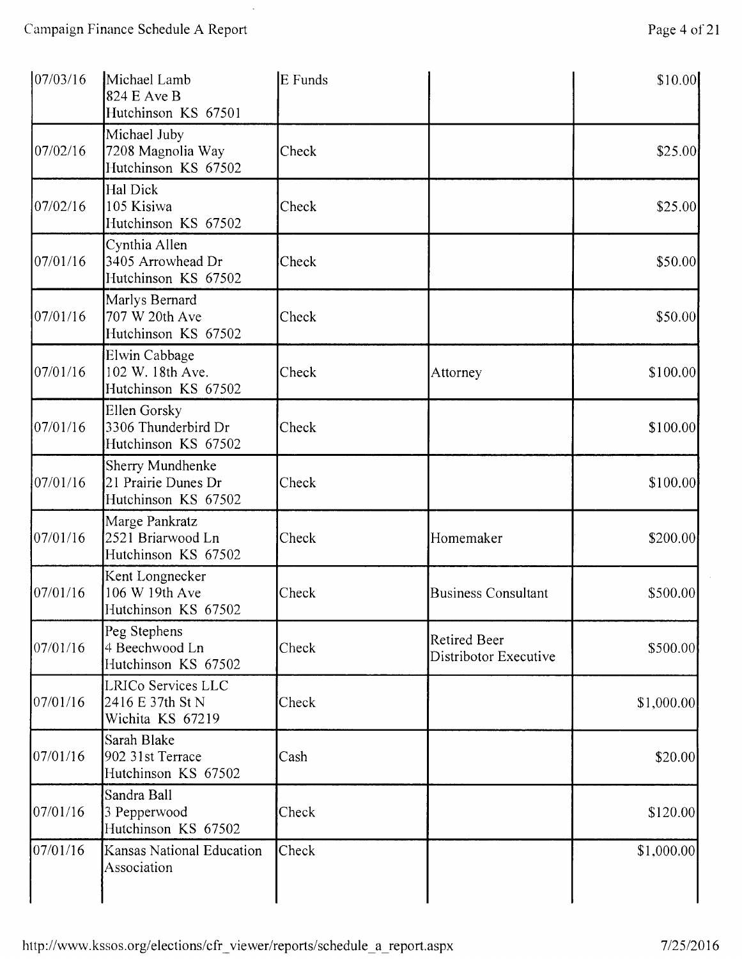$\ddot{\phantom{a}}$ 

| 07/03/16 | Michael Lamb<br>824 E Ave B<br>Hutchinson KS 67501             | E Funds |                                              | \$10.00    |
|----------|----------------------------------------------------------------|---------|----------------------------------------------|------------|
| 07/02/16 | Michael Juby<br>7208 Magnolia Way<br>Hutchinson KS 67502       | Check   |                                              | \$25.00]   |
| 07/02/16 | Hal Dick<br>105 Kisiwa<br>Hutchinson KS 67502                  | Check   |                                              | \$25.00    |
| 07/01/16 | Cynthia Allen<br>3405 Arrowhead Dr<br>Hutchinson KS 67502      | Check   |                                              | \$50.00    |
| 07/01/16 | Marlys Bernard<br>707 W 20th Ave<br>Hutchinson KS 67502        | Check   |                                              | \$50.00    |
| 07/01/16 | Elwin Cabbage<br>102 W. 18th Ave.<br>Hutchinson KS 67502       | Check   | Attorney                                     | \$100.00   |
| 07/01/16 | Ellen Gorsky<br>3306 Thunderbird Dr<br>Hutchinson KS 67502     | Check   |                                              | \$100.00   |
| 07/01/16 | Sherry Mundhenke<br>21 Prairie Dunes Dr<br>Hutchinson KS 67502 | Check   |                                              | \$100.00   |
| 07/01/16 | Marge Pankratz<br>2521 Briarwood Ln<br>Hutchinson KS 67502     | Check   | Homemaker                                    | \$200.00   |
| 07/01/16 | Kent Longnecker<br>106 W 19th Ave<br>Hutchinson KS 67502       | Check   | <b>Business Consultant</b>                   | \$500.00   |
| 07/01/16 | Peg Stephens<br>4 Beechwood Ln<br>Hutchinson KS 67502          | Check   | <b>Retired Beer</b><br>Distribotor Executive | \$500.00   |
| 07/01/16 | LRICo Services LLC<br>2416 E 37th St N<br>Wichita KS 67219     | Check   |                                              | \$1,000.00 |
| 07/01/16 | Sarah Blake<br>902 31st Terrace<br>Hutchinson KS 67502         | Cash    |                                              | \$20.00    |
| 07/01/16 | Sandra Ball<br>3 Pepperwood<br>Hutchinson KS 67502             | Check   |                                              | \$120.00   |
| 07/01/16 | Kansas National Education<br>Association                       | Check   |                                              | \$1,000.00 |
|          |                                                                |         |                                              |            |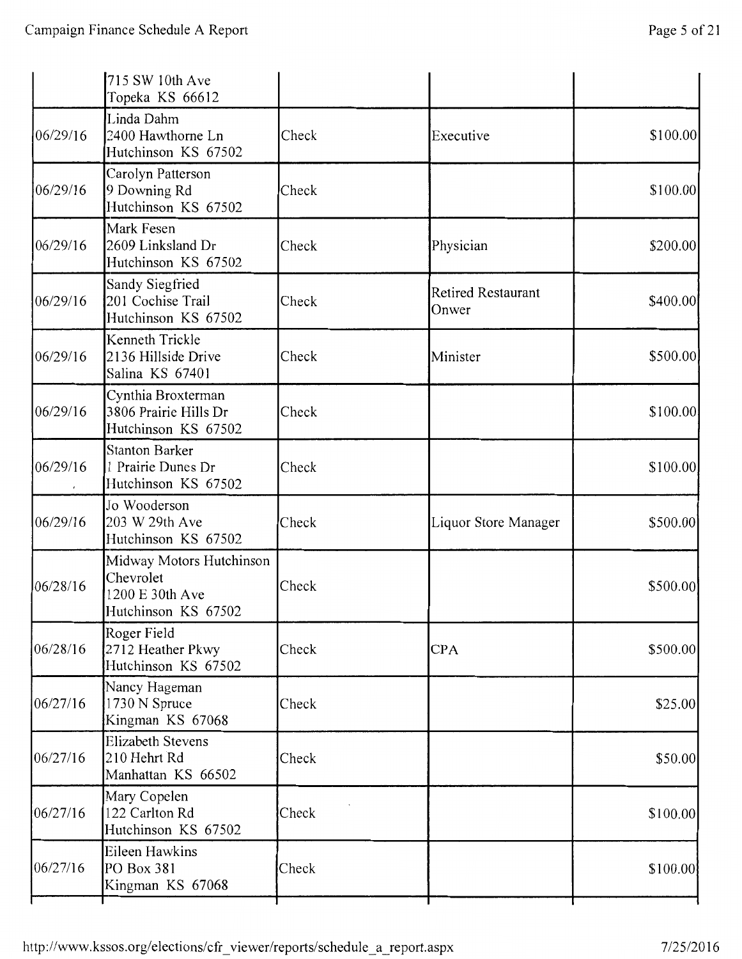|          | 715 SW 10th Ave<br>Topeka KS 66612                                              |       |                                    |           |
|----------|---------------------------------------------------------------------------------|-------|------------------------------------|-----------|
| 06/29/16 | Linda Dahm<br>2400 Hawthorne Ln<br>Hutchinson KS 67502                          | Check | Executive                          | \$100.00  |
| 06/29/16 | Carolyn Patterson<br>9 Downing Rd<br>Hutchinson KS 67502                        | Check |                                    | \$100.00] |
| 06/29/16 | Mark Fesen<br>2609 Linksland Dr<br>Hutchinson KS 67502                          | Check | Physician                          | \$200.00  |
| 06/29/16 | Sandy Siegfried<br>201 Cochise Trail<br>Hutchinson KS 67502                     | Check | <b>Retired Restaurant</b><br>Onwer | \$400.00  |
| 06/29/16 | Kenneth Trickle<br>2136 Hillside Drive<br>Salina KS 67401                       | Check | Minister                           | \$500.00  |
| 06/29/16 | Cynthia Broxterman<br>3806 Prairie Hills Dr<br>Hutchinson KS 67502              | Check |                                    | \$100.00  |
| 06/29/16 | <b>Stanton Barker</b><br>1 Prairie Dunes Dr<br>Hutchinson KS 67502              | Check |                                    | \$100.00] |
| 06/29/16 | Jo Wooderson<br>203 W 29th Ave<br>Hutchinson KS 67502                           | Check | Liquor Store Manager               | \$500.00  |
| 06/28/16 | Midway Motors Hutchinson<br>Chevrolet<br>1200 E 30th Ave<br>Hutchinson KS 67502 | Check |                                    | \$500.00  |
| 06/28/16 | Roger Field<br>2712 Heather Pkwy<br>Hutchinson KS 67502                         | Check | <b>CPA</b>                         | \$500.00  |
| 06/27/16 | Nancy Hageman<br>1730 N Spruce<br>Kingman KS 67068                              | Check |                                    | \$25.00   |
| 06/27/16 | <b>Elizabeth Stevens</b><br>210 Hehrt Rd<br>Manhattan KS 66502                  | Check |                                    | \$50.00   |
| 06/27/16 | Mary Copelen<br>122 Carlton Rd<br>Hutchinson KS 67502                           | Check |                                    | \$100.00] |
| 06/27/16 | Eileen Hawkins<br>PO Box 381<br>Kingman KS 67068                                | Check |                                    | \$100.00  |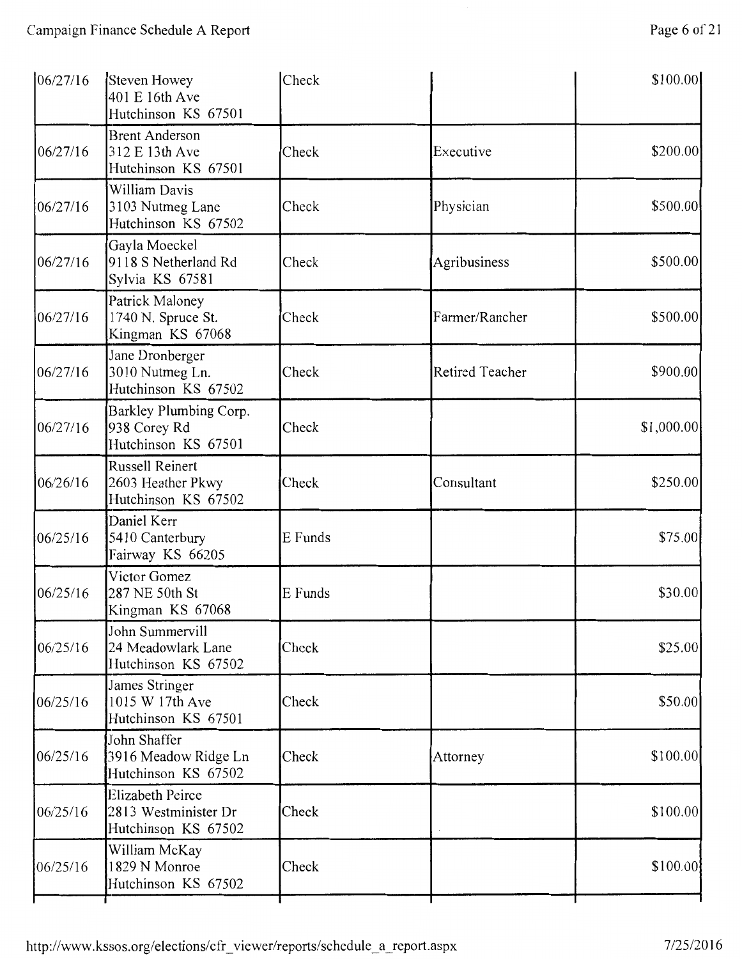| Steven Howey<br>401 E 16th Ave<br>Hutchinson KS 67501                  | Check   |                        | \$100.00   |
|------------------------------------------------------------------------|---------|------------------------|------------|
| <b>Brent Anderson</b><br>312 E 13th Ave<br>Hutchinson KS 67501         | Check   | Executive              | \$200.00   |
| William Davis<br>3103 Nutmeg Lane<br>Hutchinson KS 67502               | Check   | Physician              | \$500.00   |
| Gayla Moeckel<br>9118 S Netherland Rd<br>Sylvia KS 67581               | Check   | Agribusiness           | \$500.00   |
| Patrick Maloney<br>1740 N. Spruce St.<br>Kingman KS 67068              | Check   | Farmer/Rancher         | \$500.00   |
| Jane Dronberger<br>3010 Nutmeg Ln.<br>Hutchinson KS 67502              | Check   | <b>Retired Teacher</b> | \$900.00   |
| Barkley Plumbing Corp.<br>938 Corey Rd<br>Hutchinson KS 67501          | Check   |                        | \$1,000.00 |
| <b>Russell Reinert</b><br>2603 Heather Pkwy<br>Hutchinson KS 67502     | Check   | Consultant             | \$250.00   |
| Daniel Kerr<br>5410 Canterbury<br>Fairway KS 66205                     | E Funds |                        | \$75.00    |
| Victor Gomez<br>287 NE 50th St<br>Kingman KS 67068                     | E Funds |                        | \$30.00    |
| John Summervill<br>24 Meadowlark Lane<br>Hutchinson KS 67502           | Check   |                        | \$25.00    |
| James Stringer<br>1015 W 17th Ave<br>Hutchinson KS 67501               | Check   |                        | \$50.00]   |
| John Shaffer<br>3916 Meadow Ridge Ln<br>Hutchinson KS 67502            | Check   | Attorney               | \$100.00   |
| <b>Elizabeth Peirce</b><br>2813 Westminister Dr<br>Hutchinson KS 67502 | Check   |                        | \$100.00   |
| William McKay<br>1829 N Monroe<br>Hutchinson KS 67502                  | Check   |                        | \$100.00   |
|                                                                        |         |                        |            |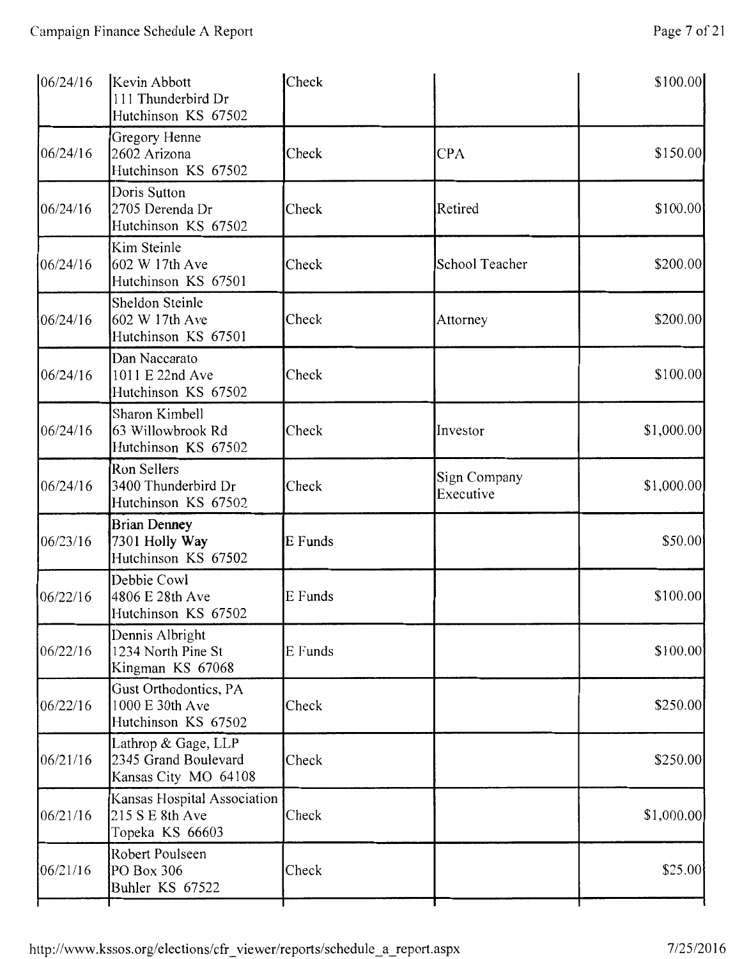| 06/24/16 | Kevin Abbott<br>111 Thunderbird Dr<br>Hutchinson KS 67502           | Check   |                           | \$100.00    |
|----------|---------------------------------------------------------------------|---------|---------------------------|-------------|
| 06/24/16 | Gregory Henne<br>2602 Arizona<br>Hutchinson KS 67502                | Check   | <b>CPA</b>                | \$150.00    |
| 06/24/16 | Doris Sutton<br>2705 Derenda Dr<br>Hutchinson KS 67502              | Check   | Retired                   | \$100.00    |
| 06/24/16 | Kim Steinle<br>602 W 17th Ave<br>Hutchinson KS 67501                | Check   | School Teacher            | \$200.00    |
| 06/24/16 | Sheldon Steinle<br>602 W 17th Ave<br>Hutchinson KS 67501            | Check   | Attorney                  | \$200.00    |
| 06/24/16 | Dan Naccarato<br>1011 E 22nd Ave<br>Hutchinson KS 67502             | Check   |                           | \$100.00]   |
| 06/24/16 | Sharon Kimbell<br>63 Willowbrook Rd<br>Hutchinson KS 67502          | Check   | Investor                  | \$1,000.00] |
| 06/24/16 | Ron Sellers<br>3400 Thunderbird Dr<br>Hutchinson KS 67502           | Check   | Sign Company<br>Executive | \$1,000.00  |
| 06/23/16 | <b>Brian Denney</b><br>7301 Holly Way<br>Hutchinson KS 67502        | E Funds |                           | \$50.00     |
| 06/22/16 | Debbie Cowl<br>4806 E 28th Ave<br>Hutchinson KS 67502               | E Funds |                           | \$100.00    |
| 06/22/16 | Dennis Albright<br>1234 North Pine St<br>Kingman KS 67068           | E Funds |                           | \$100.00    |
| 06/22/16 | Gust Orthodontics, PA<br>1000 E 30th Ave<br>Hutchinson KS 67502     | Check   |                           | \$250.00    |
| 06/21/16 | Lathrop & Gage, LLP<br>2345 Grand Boulevard<br>Kansas City MO 64108 | Check   |                           | \$250.00    |
| 06/21/16 | Kansas Hospital Association<br>215 S E 8th Ave<br>Topeka KS 66603   | Check   |                           | \$1,000.00  |
| 06/21/16 | Robert Poulseen<br>PO Box 306<br>Buhler KS 67522                    | Check   |                           | \$25.00     |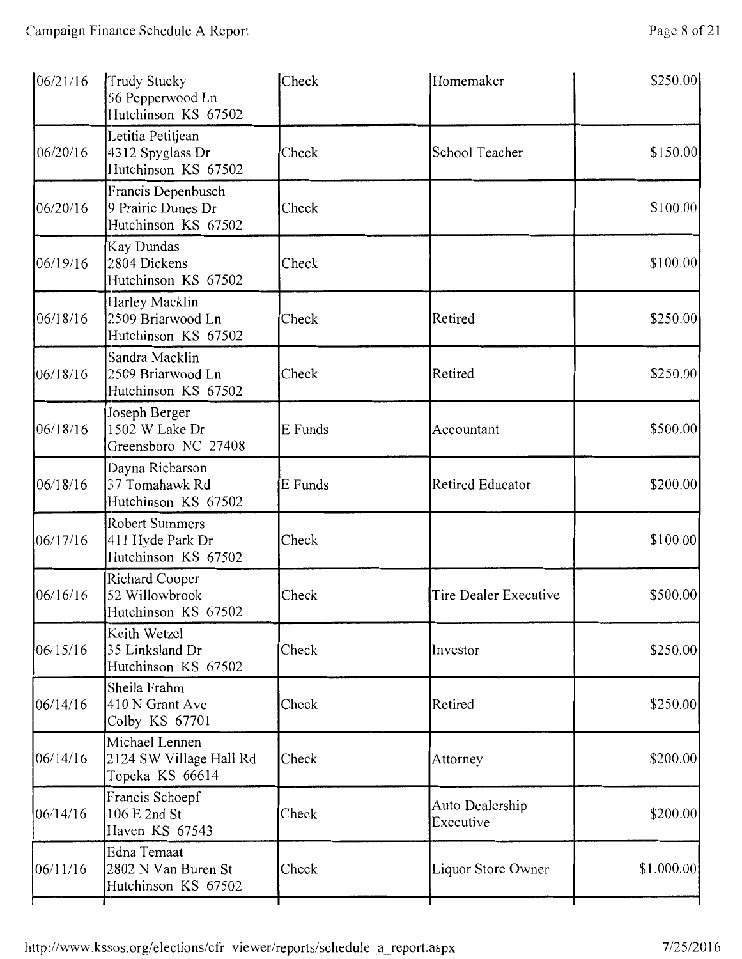| 06/21/16 | Trudy Stucky<br>56 Pepperwood Ln<br>Hutchinson KS 67502          | Check   | Homemaker                    | \$250.00   |
|----------|------------------------------------------------------------------|---------|------------------------------|------------|
| 06/20/16 | Letitia Petitjean<br>4312 Spyglass Dr<br>Hutchinson KS 67502     | Check   | School Teacher               | \$150.00   |
| 06/20/16 | Francis Depenbusch<br>9 Prairie Dunes Dr<br>Hutchinson KS 67502  | Check   |                              | \$100.00   |
| 06/19/16 | Kay Dundas<br>2804 Dickens<br>Hutchinson KS 67502                | Check   |                              | \$100.00   |
| 06/18/16 | Harley Macklin<br>2509 Briarwood Ln<br>Hutchinson KS 67502       | Check   | Retired                      | \$250.00   |
| 06/18/16 | Sandra Macklin<br>2509 Briarwood Ln<br>Hutchinson KS 67502       | Check   | Retired                      | \$250.00   |
| 06/18/16 | Joseph Berger<br>1502 W Lake Dr<br>Greensboro NC 27408           | E Funds | Accountant                   | \$500.00   |
| 06/18/16 | Dayna Richarson<br>37 Tomahawk Rd<br>Hutchinson KS 67502         | E Funds | <b>Retired Educator</b>      | \$200.00   |
| 06/17/16 | <b>Robert Summers</b><br>411 Hyde Park Dr<br>Hutchinson KS 67502 | Check   |                              | \$100.00   |
| 06/16/16 | Richard Cooper<br>52 Willowbrook<br>Hutchinson KS 67502          | Check   | Tire Dealer Executive        | \$500.00   |
| 06/15/16 | Keith Wetzel<br>35 Linksland Dr<br>Hutchinson KS 67502           | Check   | Investor                     | \$250.00   |
| 06/14/16 | Sheila Frahm<br>410 N Grant Ave<br>Colby KS 67701                | Check   | Retired                      | \$250.00   |
| 06/14/16 | Michael Lennen<br>2124 SW Village Hall Rd<br>Topeka KS 66614     | Check   | Attorney                     | \$200.00   |
| 06/14/16 | Francis Schoepf<br>106 E 2nd St<br>Haven KS 67543                | Check   | Auto Dealership<br>Executive | \$200.00   |
| 06/11/16 | Edna Temaat<br>2802 N Van Buren St<br>Hutchinson KS 67502        | Check   | Liquor Store Owner           | \$1,000.00 |
|          |                                                                  |         |                              |            |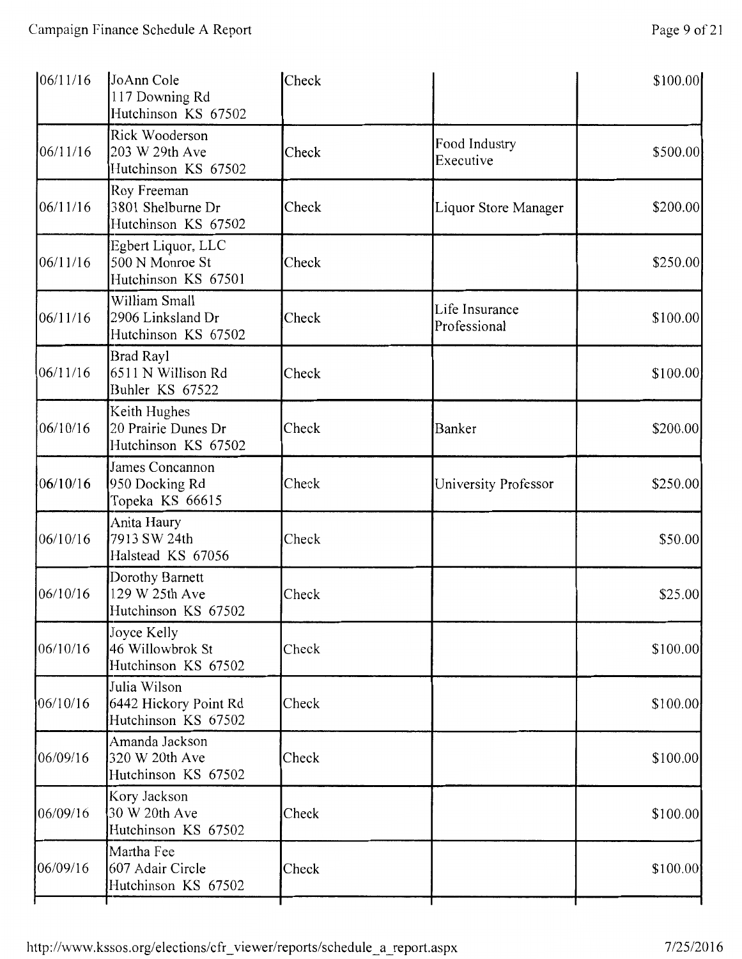| 06/11/16 | JoAnn Cole<br>117 Downing Rd<br>Hutchinson KS 67502          | Check |                                | \$100.00 |
|----------|--------------------------------------------------------------|-------|--------------------------------|----------|
| 06/11/16 | Rick Wooderson<br>203 W 29th Ave<br>Hutchinson KS 67502      | Check | Food Industry<br>Executive     | \$500.00 |
| 06/11/16 | Roy Freeman<br>3801 Shelburne Dr<br>Hutchinson KS 67502      | Check | Liquor Store Manager           | \$200.00 |
| 06/11/16 | Egbert Liquor, LLC<br>500 N Monroe St<br>Hutchinson KS 67501 | Check |                                | \$250.00 |
| 06/11/16 | William Small<br>2906 Linksland Dr<br>Hutchinson KS 67502    | Check | Life Insurance<br>Professional | \$100.00 |
| 06/11/16 | <b>Brad Rayl</b><br>6511 N Willison Rd<br>Buhler KS 67522    | Check |                                | \$100.00 |
| 06/10/16 | Keith Hughes<br>20 Prairie Dunes Dr<br>Hutchinson KS 67502   | Check | Banker                         | \$200.00 |
| 06/10/16 | James Concannon<br>950 Docking Rd<br>Topeka KS 66615         | Check | University Professor           | \$250.00 |
| 06/10/16 | Anita Haury<br>7913 SW 24th<br>Halstead KS 67056             | Check |                                | \$50.00  |
| 06/10/16 | Dorothy Barnett<br>129 W 25th Ave<br>Hutchinson KS 67502     | Check |                                | \$25.00  |
| 06/10/16 | Joyce Kelly<br>46 Willowbrok St<br>Hutchinson KS 67502       | Check |                                | \$100.00 |
| 06/10/16 | Julia Wilson<br>6442 Hickory Point Rd<br>Hutchinson KS 67502 | Check |                                | \$100.00 |
| 06/09/16 | Amanda Jackson<br>320 W 20th Ave<br>Hutchinson KS 67502      | Check |                                | \$100.00 |
| 06/09/16 | Kory Jackson<br>30 W 20th Ave<br>Hutchinson KS 67502         | Check |                                | \$100.00 |
| 06/09/16 | Martha Fee<br>607 Adair Circle<br>Hutchinson KS 67502        | Check |                                | \$100.00 |
|          |                                                              |       |                                |          |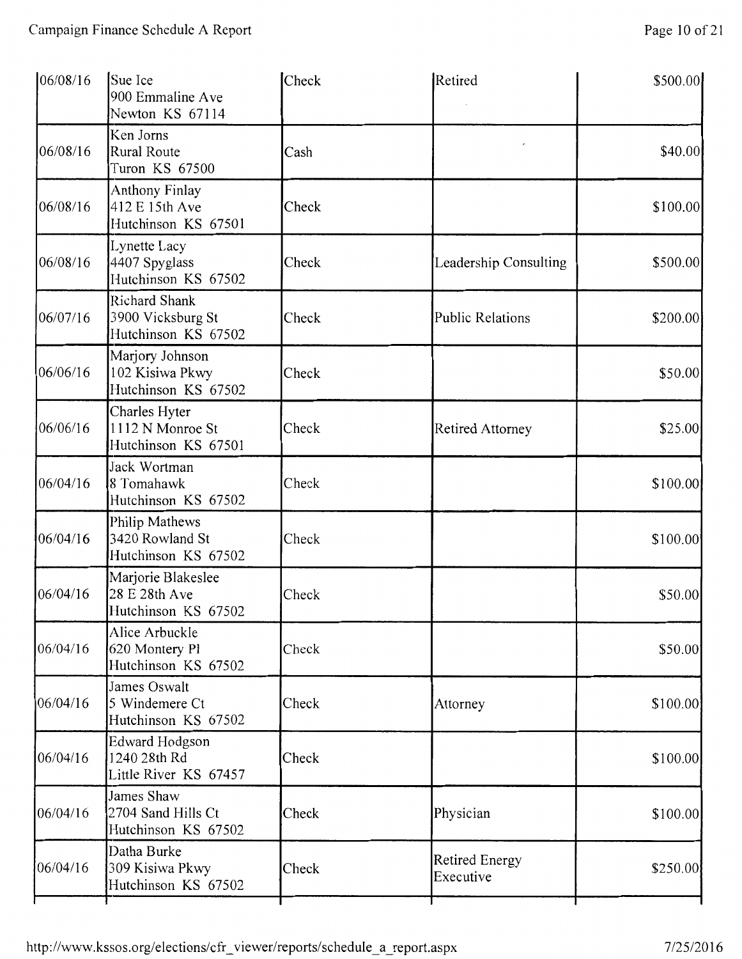| 06/08/16 | Sue Ice<br>900 Emmaline Ave<br>Newton KS 67114                   | Check | Retired                            | \$500.00  |
|----------|------------------------------------------------------------------|-------|------------------------------------|-----------|
| 06/08/16 | Ken Jorns<br>Rural Route<br>Turon KS 67500                       | Cash  |                                    | \$40.00]  |
| 06/08/16 | Anthony Finlay<br>412 E 15th Ave<br>Hutchinson KS 67501          | Check |                                    | \$100.00  |
| 06/08/16 | Lynette Lacy<br>4407 Spyglass<br>Hutchinson KS 67502             | Check | Leadership Consulting              | \$500.00  |
| 06/07/16 | <b>Richard Shank</b><br>3900 Vicksburg St<br>Hutchinson KS 67502 | Check | <b>Public Relations</b>            | \$200.00  |
| 06/06/16 | Marjory Johnson<br>102 Kisiwa Pkwy<br>Hutchinson KS 67502        | Check |                                    | \$50.00   |
| 06/06/16 | Charles Hyter<br>1112 N Monroe St<br>Hutchinson KS 67501         | Check | Retired Attorney                   | \$25.00   |
| 06/04/16 | Jack Wortman<br>8 Tomahawk<br>Hutchinson KS 67502                | Check |                                    | \$100.00  |
| 06/04/16 | Philip Mathews<br>3420 Rowland St<br>Hutchinson KS 67502         | Check |                                    | \$100.00  |
| 06/04/16 | Marjorie Blakeslee<br>28 E 28th Ave<br>Hutchinson KS 67502       | Check |                                    | \$50.00   |
| 06/04/16 | Alice Arbuckle<br>620 Montery Pl<br>Hutchinson KS 67502          | Check |                                    | \$50.00   |
| 06/04/16 | James Oswalt<br>5 Windemere Ct<br>Hutchinson KS 67502            | Check | Attorney                           | \$100.00] |
| 06/04/16 | Edward Hodgson<br>1240 28th Rd<br>Little River KS 67457          | Check |                                    | \$100.00  |
| 06/04/16 | James Shaw<br>2704 Sand Hills Ct<br>Hutchinson KS 67502          | Check | Physician                          | \$100.00] |
| 06/04/16 | Datha Burke<br>309 Kisiwa Pkwy<br>Hutchinson KS 67502            | Check | <b>Retired Energy</b><br>Executive | \$250.00  |
|          |                                                                  |       |                                    |           |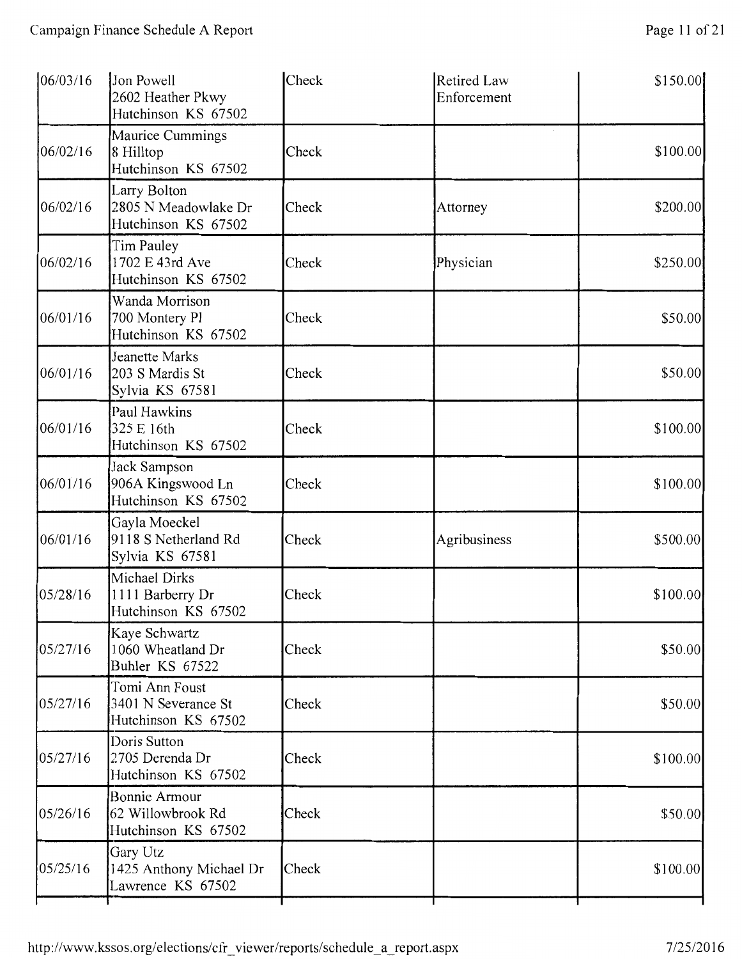| Jon Powell<br>2602 Heather Pkwy<br>Hutchinson KS 67502       | Check | Retired Law<br>Enforcement | \$150.00  |
|--------------------------------------------------------------|-------|----------------------------|-----------|
| Maurice Cummings<br>8 Hilltop<br>Hutchinson KS 67502         | Check |                            | \$100.00] |
| Larry Bolton<br>2805 N Meadowlake Dr<br>Hutchinson KS 67502  | Check | Attorney                   | \$200.00  |
| Tim Pauley<br>1702 E 43rd Ave<br>Hutchinson KS 67502         | Check | Physician                  | \$250.00  |
| Wanda Morrison<br>700 Montery Pl<br>Hutchinson KS 67502      | Check |                            | \$50.00   |
| Jeanette Marks<br>203 S Mardis St<br>Sylvia KS 67581         | Check |                            | \$50.00   |
| Paul Hawkins<br>325 E 16th<br>Hutchinson KS 67502            | Check |                            | \$100.00] |
| Jack Sampson<br>906A Kingswood Ln<br>Hutchinson KS 67502     | Check |                            | \$100.00  |
| Gayla Moeckel<br>9118 S Netherland Rd<br>Sylvia KS 67581     | Check | Agribusiness               | \$500.00  |
| Michael Dirks<br>1111 Barberry Dr<br>Hutchinson KS 67502     | Check |                            | \$100.00  |
| Kaye Schwartz<br>1060 Wheatland Dr<br>Buhler KS 67522        | Check |                            | \$50.00   |
| Tomi Ann Foust<br>3401 N Severance St<br>Hutchinson KS 67502 | Check |                            | \$50.00   |
| Doris Sutton<br>2705 Derenda Dr<br>Hutchinson KS 67502       | Check |                            | \$100.00] |
| Bonnie Armour<br>62 Willowbrook Rd<br>Hutchinson KS 67502    | Check |                            | \$50.00   |
| Gary Utz<br>1425 Anthony Michael Dr<br>Lawrence KS 67502     | Check |                            | \$100.00  |
|                                                              |       |                            |           |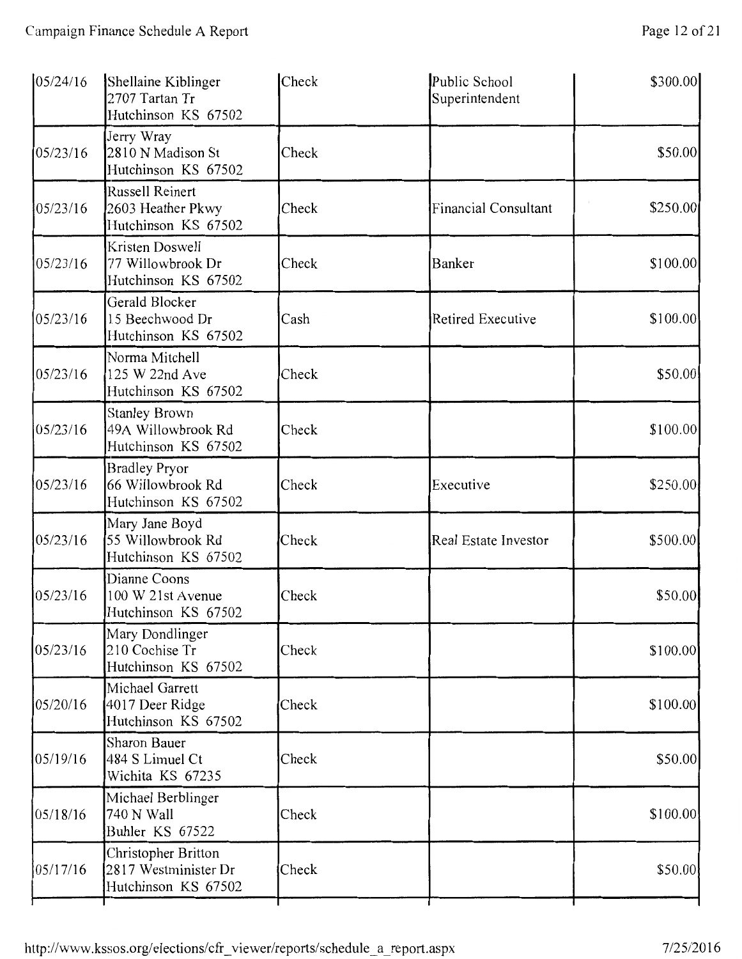| 05/24/16 | Shellaine Kiblinger<br>2707 Tartan Tr<br>Hutchinson KS 67502       | Check | Public School<br>Superintendent | \$300.00 |
|----------|--------------------------------------------------------------------|-------|---------------------------------|----------|
| 05/23/16 | Jerry Wray<br>2810 N Madison St<br>Hutchinson KS 67502             | Check |                                 | \$50.00  |
| 05/23/16 | Russell Reinert<br>2603 Heather Pkwy<br>Hutchinson KS 67502        | Check | Financial Consultant            | \$250.00 |
| 05/23/16 | Kristen Doswell<br>77 Willowbrook Dr<br>Hutchinson KS 67502        | Check | Banker                          | \$100.00 |
| 05/23/16 | Gerald Blocker<br>15 Beechwood Dr<br>Hutchinson KS 67502           | Cash  | <b>Retired Executive</b>        | \$100.00 |
| 05/23/16 | Norma Mitchell<br>125 W 22nd Ave<br>Hutchinson KS 67502            | Check |                                 | \$50.00  |
| 05/23/16 | <b>Stanley Brown</b><br>49A Willowbrook Rd<br>Hutchinson KS 67502  | Check |                                 | \$100.00 |
| 05/23/16 | <b>Bradley Pryor</b><br>66 Willowbrook Rd<br>Hutchinson KS 67502   | Check | Executive                       | \$250.00 |
| 05/23/16 | Mary Jane Boyd<br>55 Willowbrook Rd<br>Hutchinson KS 67502         | Check | Real Estate Investor            | \$500.00 |
| 05/23/16 | Dianne Coons<br>100 W 21st Avenue<br>Hutchinson KS 67502           | Check |                                 | \$50.00  |
| 05/23/16 | Mary Dondlinger<br>210 Cochise Tr<br>Hutchinson KS 67502           | Check |                                 | \$100.00 |
| 05/20/16 | Michael Garrett<br>4017 Deer Ridge<br>Hutchinson KS 67502          | Check |                                 | \$100.00 |
| 05/19/16 | Sharon Bauer<br>484 S Limuel Ct<br>Wichita KS 67235                | Check |                                 | \$50.00  |
| 05/18/16 | Michael Berblinger<br>740 N Wall<br>Buhler KS 67522                | Check |                                 | \$100.00 |
| 05/17/16 | Christopher Britton<br>2817 Westminister Dr<br>Hutchinson KS 67502 | Check |                                 | \$50.00  |
|          |                                                                    |       |                                 |          |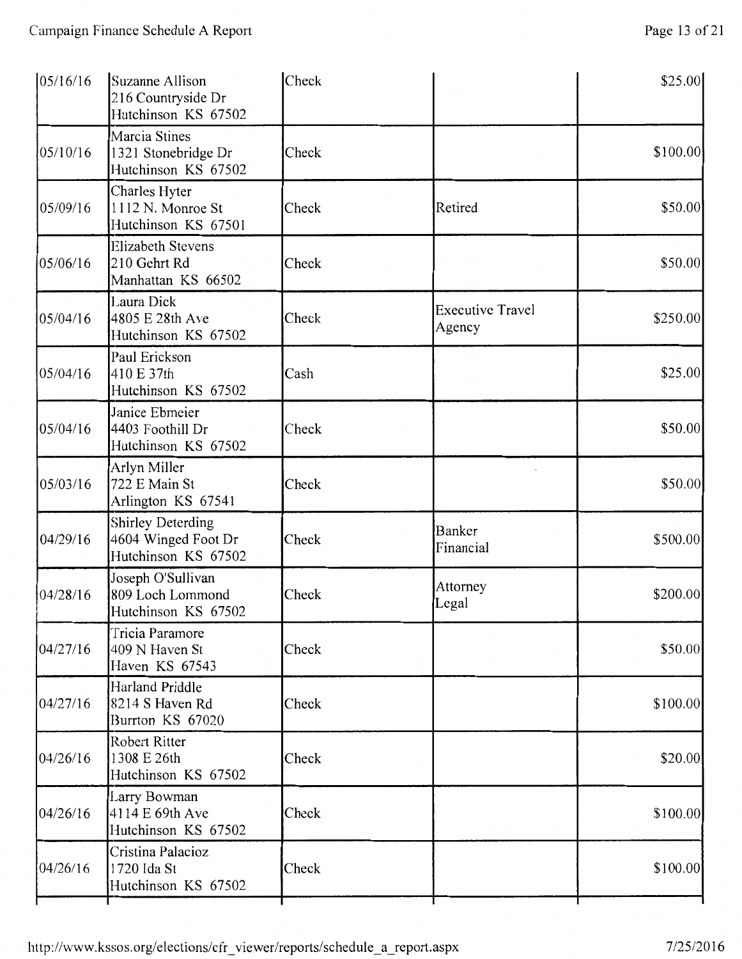| 05/16/16 | Suzanne Allison<br>216 Countryside Dr<br>Hutchinson KS 67502           | Check |                                   | \$25.00   |
|----------|------------------------------------------------------------------------|-------|-----------------------------------|-----------|
| 05/10/16 | Marcia Stines<br>1321 Stonebridge Dr<br>Hutchinson KS 67502            | Check |                                   | \$100.00  |
| 05/09/16 | Charles Hyter<br>1112 N. Monroe St<br>Hutchinson KS 67501              | Check | Retired                           | \$50.00   |
| 05/06/16 | <b>Elizabeth Stevens</b><br>210 Gehrt Rd<br>Manhattan KS 66502         | Check |                                   | \$50.00   |
| 05/04/16 | Laura Dick<br>4805 E 28th Ave<br>Hutchinson KS 67502                   | Check | <b>Executive Travel</b><br>Agency | \$250.00  |
| 05/04/16 | Paul Erickson<br>410 E 37th<br>Hutchinson KS 67502                     | Cash  |                                   | \$25.00   |
| 05/04/16 | Janice Ebmeier<br>4403 Foothill Dr<br>Hutchinson KS 67502              | Check |                                   | \$50.00   |
| 05/03/16 | Arlyn Miller<br>722 E Main St<br>Arlington KS 67541                    | Check |                                   | \$50.00   |
| 04/29/16 | <b>Shirley Deterding</b><br>4604 Winged Foot Dr<br>Hutchinson KS 67502 | Check | Banker<br>Financial               | \$500.00  |
| 04/28/16 | Joseph O'Sullivan<br>809 Loch Lommond<br>Hutchinson KS 67502           | Check | Attorney<br>Legal                 | \$200.00  |
| 04/27/16 | Tricia Paramore<br>409 N Haven St<br>Haven KS 67543                    | Check |                                   | \$50.00   |
| 04/27/16 | Harland Priddle<br>8214 S Haven Rd<br>Burrton KS 67020                 | Check |                                   | \$100.00  |
| 04/26/16 | Robert Ritter<br>1308 E 26th<br>Hutchinson KS 67502                    | Check |                                   | \$20.00   |
| 04/26/16 | Larry Bowman<br>4114 E 69th Ave<br>Hutchinson KS 67502                 | Check |                                   | \$100.00] |
| 04/26/16 | Cristina Palacioz<br>1720 Ida St<br>Hutchinson KS 67502                | Check |                                   | \$100.00  |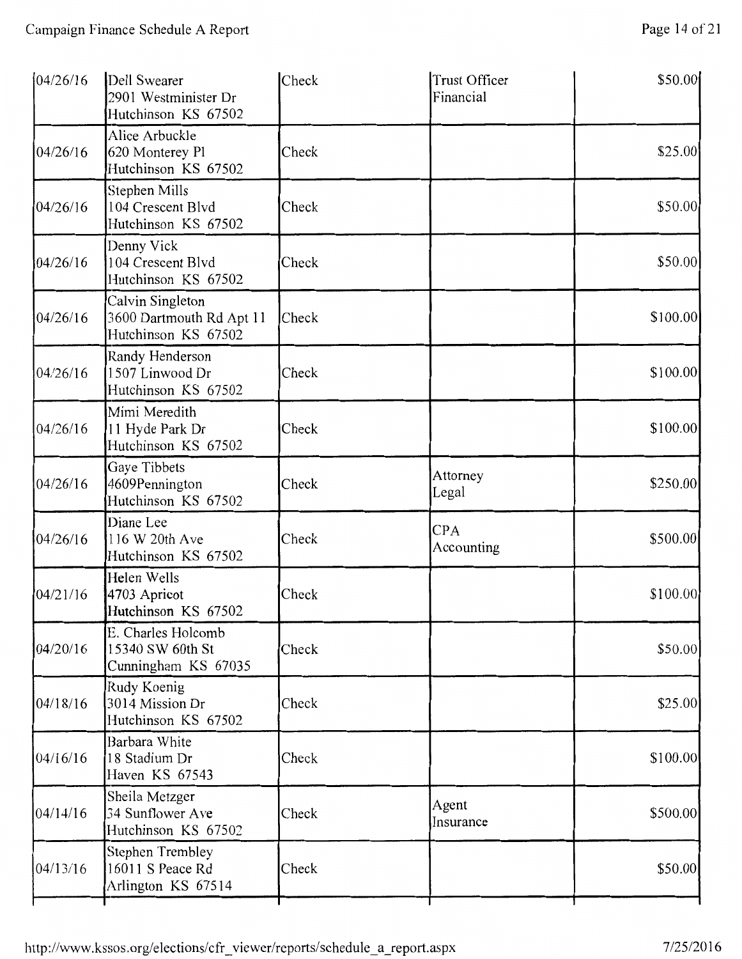| 04/26/16 | Dell Swearer<br>2901 Westminister Dr<br>Hutchinson KS 67502         | Check | Trust Officer<br>Financial | \$50.00  |
|----------|---------------------------------------------------------------------|-------|----------------------------|----------|
| 04/26/16 | Alice Arbuckle<br>620 Monterey Pl<br>Hutchinson KS 67502            | Check |                            | \$25.00  |
| 04/26/16 | Stephen Mills<br>104 Crescent Blvd<br>Hutchinson KS 67502           | Check |                            | \$50.00  |
| 04/26/16 | Denny Vick<br>104 Crescent Blvd<br>Hutchinson KS 67502              | Check |                            | \$50.00  |
| 04/26/16 | Calvin Singleton<br>3600 Dartmouth Rd Apt 11<br>Hutchinson KS 67502 | Check |                            | \$100.00 |
| 04/26/16 | Randy Henderson<br>1507 Linwood Dr<br>Hutchinson KS 67502           | Check |                            | \$100.00 |
| 04/26/16 | Mimi Meredith<br>11 Hyde Park Dr<br>Hutchinson KS 67502             | Check |                            | \$100.00 |
| 04/26/16 | Gaye Tibbets<br>4609Pennington<br>Hutchinson KS 67502               | Check | Attorney<br>Legal          | \$250.00 |
| 04/26/16 | Diane Lee<br>116 W 20th Ave<br>Hutchinson KS 67502                  | Check | <b>CPA</b><br>Accounting   | \$500.00 |
| 04/21/16 | Helen Wells<br>4703 Apricot<br>Hutchinson KS 67502                  | Check |                            | \$100.00 |
| 04/20/16 | E. Charles Holcomb<br>15340 SW 60th St<br>Cunningham KS 67035       | Check |                            | \$50.00  |
| 04/18/16 | Rudy Koenig<br>3014 Mission Dr<br>Hutchinson KS 67502               | Check |                            | \$25.00  |
| 04/16/16 | Barbara White<br>18 Stadium Dr<br>Haven KS 67543                    | Check |                            | \$100.00 |
| 04/14/16 | Sheila Metzger<br>34 Sunflower Ave<br>Hutchinson KS 67502           | Check | Agent<br>Insurance         | \$500.00 |
| 04/13/16 | <b>Stephen Trembley</b><br>16011 S Peace Rd<br>Arlington KS 67514   | Check |                            | \$50.00  |
|          |                                                                     |       |                            |          |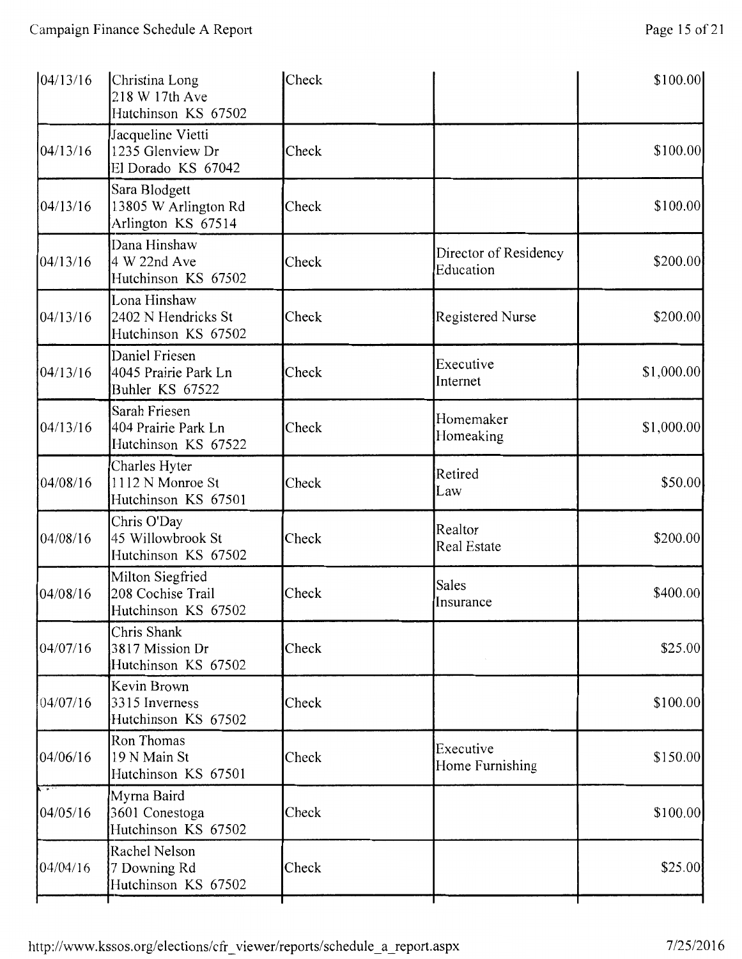| 04/13/16 | Christina Long<br>218 W 17th Ave<br>Hutchinson KS 67502      | Check |                                    | \$100.00]  |
|----------|--------------------------------------------------------------|-------|------------------------------------|------------|
| 04/13/16 | Jacqueline Vietti<br>1235 Glenview Dr<br>El Dorado KS 67042  | Check |                                    | \$100.00   |
| 04/13/16 | Sara Blodgett<br>13805 W Arlington Rd<br>Arlington KS 67514  | Check |                                    | \$100.00]  |
| 04/13/16 | Dana Hinshaw<br>4 W 22nd Ave<br>Hutchinson KS 67502          | Check | Director of Residency<br>Education | \$200.00   |
| 04/13/16 | Lona Hinshaw<br>2402 N Hendricks St<br>Hutchinson KS 67502   | Check | Registered Nurse                   | \$200.00   |
| 04/13/16 | Daniel Friesen<br>4045 Prairie Park Ln<br>Buhler KS 67522    | Check | Executive<br>Internet              | \$1,000.00 |
| 04/13/16 | Sarah Friesen<br>404 Prairie Park Ln<br>Hutchinson KS 67522  | Check | Homemaker<br>Homeaking             | \$1,000.00 |
| 04/08/16 | Charles Hyter<br>1112 N Monroe St<br>Hutchinson KS 67501     | Check | Retired<br>Law                     | \$50.00    |
| 04/08/16 | Chris O'Day<br>45 Willowbrook St<br>Hutchinson KS 67502      | Check | Realtor<br>Real Estate             | \$200.00   |
| 04/08/16 | Milton Siegfried<br>208 Cochise Trail<br>Hutchinson KS 67502 | Check | Sales<br>Insurance                 | \$400.00   |
| 04/07/16 | Chris Shank<br>3817 Mission Dr<br>Hutchinson KS 67502        | Check |                                    | \$25.00    |
| 04/07/16 | Kevin Brown<br>3315 Inverness<br>Hutchinson KS 67502         | Check |                                    | \$100.00]  |
| 04/06/16 | Ron Thomas<br>19 N Main St<br>Hutchinson KS 67501            | Check | Executive<br>Home Furnishing       | \$150.00   |
| 04/05/16 | Myrna Baird<br>3601 Conestoga<br>Hutchinson KS 67502         | Check |                                    | \$100.00   |
| 04/04/16 | Rachel Nelson<br>7 Downing Rd<br>Hutchinson KS 67502         | Check |                                    | \$25.00    |
|          |                                                              |       |                                    |            |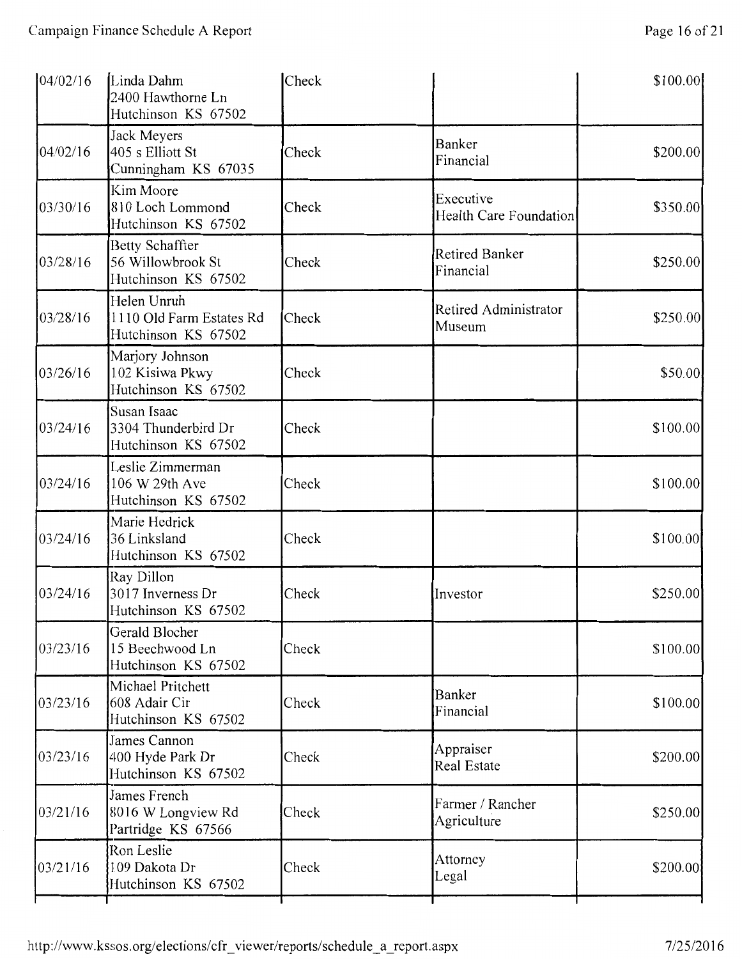| 04/02/16 | Linda Dahm<br>2400 Hawthorne Ln<br>Hutchinson KS 67502         | Check |                                            | \$100.00 |
|----------|----------------------------------------------------------------|-------|--------------------------------------------|----------|
| 04/02/16 | Jack Meyers<br>405 s Elliott St<br>Cunningham KS 67035         | Check | <b>Banker</b><br>Financial                 | \$200.00 |
| 03/30/16 | Kim Moore<br>810 Loch Lommond<br>Hutchinson KS 67502           | Check | Executive<br><b>Health Care Foundation</b> | \$350.00 |
| 03/28/16 | Betty Schaffter<br>56 Willowbrook St<br>Hutchinson KS 67502    | Check | <b>Retired Banker</b><br>Financial         | \$250.00 |
| 03/28/16 | Helen Unruh<br>1110 Old Farm Estates Rd<br>Hutchinson KS 67502 | Check | Retired Administrator<br>Museum            | \$250.00 |
| 03/26/16 | Marjory Johnson<br>102 Kisiwa Pkwy<br>Hutchinson KS 67502      | Check |                                            | \$50.00  |
| 03/24/16 | Susan Isaac<br>3304 Thunderbird Dr<br>Hutchinson KS 67502      | Check |                                            | \$100.00 |
| 03/24/16 | Leslie Zimmerman<br>106 W 29th Ave<br>Hutchinson KS 67502      | Check |                                            | \$100.00 |
| 03/24/16 | Marie Hedrick<br>36 Linksland<br>Hutchinson KS 67502           | Check |                                            | \$100.00 |
| 03/24/16 | Ray Dillon<br>3017 Inverness Dr<br>Hutchinson KS 67502         | Check | Investor                                   | \$250.00 |
| 03/23/16 | Gerald Blocher<br>15 Beechwood Ln<br>Hutchinson KS 67502       | Check |                                            | \$100.00 |
| 03/23/16 | Michael Pritchett<br>608 Adair Cir<br>Hutchinson KS 67502      | Check | Banker<br>Financial                        | \$100.00 |
| 03/23/16 | James Cannon<br>400 Hyde Park Dr<br>Hutchinson KS 67502        | Check | Appraiser<br><b>Real Estate</b>            | \$200.00 |
| 03/21/16 | James French<br>8016 W Longview Rd<br>Partridge KS 67566       | Check | Farmer / Rancher<br>Agriculture            | \$250.00 |
| 03/21/16 | Ron Leslie<br>109 Dakota Dr<br>Hutchinson KS 67502             | Check | Attorney<br>Legal                          | \$200.00 |
|          |                                                                |       |                                            |          |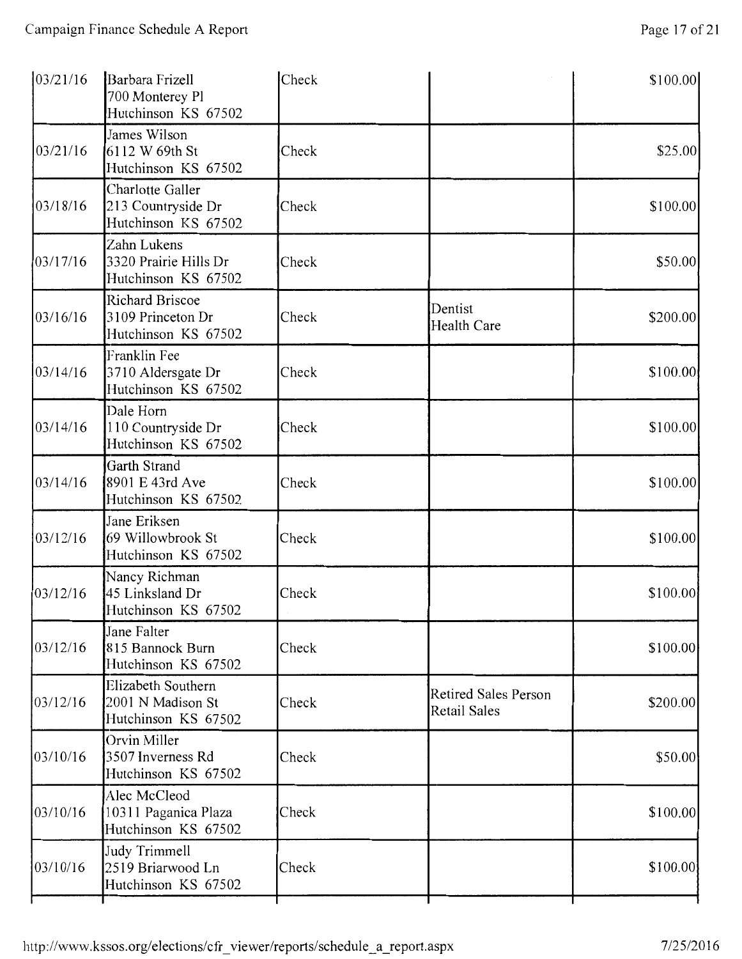| 03/21/16 | Barbara Frizell<br>700 Monterey Pl<br>Hutchinson KS 67502          | Check |                                                    | \$100.00  |
|----------|--------------------------------------------------------------------|-------|----------------------------------------------------|-----------|
| 03/21/16 | James Wilson<br>6112 W 69th St<br>Hutchinson KS 67502              | Check |                                                    | \$25.00   |
| 03/18/16 | Charlotte Galler<br>213 Countryside Dr<br>Hutchinson KS 67502      | Check |                                                    | \$100.00] |
| 03/17/16 | Zahn Lukens<br>3320 Prairie Hills Dr<br>Hutchinson KS 67502        | Check |                                                    | \$50.00   |
| 03/16/16 | <b>Richard Briscoe</b><br>3109 Princeton Dr<br>Hutchinson KS 67502 | Check | Dentist<br>Health Care                             | \$200.00  |
| 03/14/16 | Franklin Fee<br>3710 Aldersgate Dr<br>Hutchinson KS 67502          | Check |                                                    | \$100.00  |
| 03/14/16 | Dale Horn<br>110 Countryside Dr<br>Hutchinson KS 67502             | Check |                                                    | \$100.00  |
| 03/14/16 | Garth Strand<br>8901 E 43rd Ave<br>Hutchinson KS 67502             | Check |                                                    | \$100.00  |
| 03/12/16 | Jane Eriksen<br>69 Willowbrook St<br>Hutchinson KS 67502           | Check |                                                    | \$100.00  |
| 03/12/16 | Nancy Richman<br>45 Linksland Dr<br>Hutchinson KS 67502            | Check |                                                    | \$100.00  |
| 03/12/16 | Jane Falter<br>815 Bannock Burn<br>Hutchinson KS 67502             | Check |                                                    | \$100.00  |
| 03/12/16 | Elizabeth Southern<br>2001 N Madison St<br>Hutchinson KS 67502     | Check | <b>Retired Sales Person</b><br><b>Retail Sales</b> | \$200.00  |
| 03/10/16 | Orvin Miller<br>3507 Inverness Rd<br>Hutchinson KS 67502           | Check |                                                    | \$50.00   |
| 03/10/16 | Alec McCleod<br>10311 Paganica Plaza<br>Hutchinson KS 67502        | Check |                                                    | \$100.00  |
| 03/10/16 | Judy Trimmell<br>2519 Briarwood Ln<br>Hutchinson KS 67502          | Check |                                                    | \$100.00  |
|          |                                                                    |       |                                                    |           |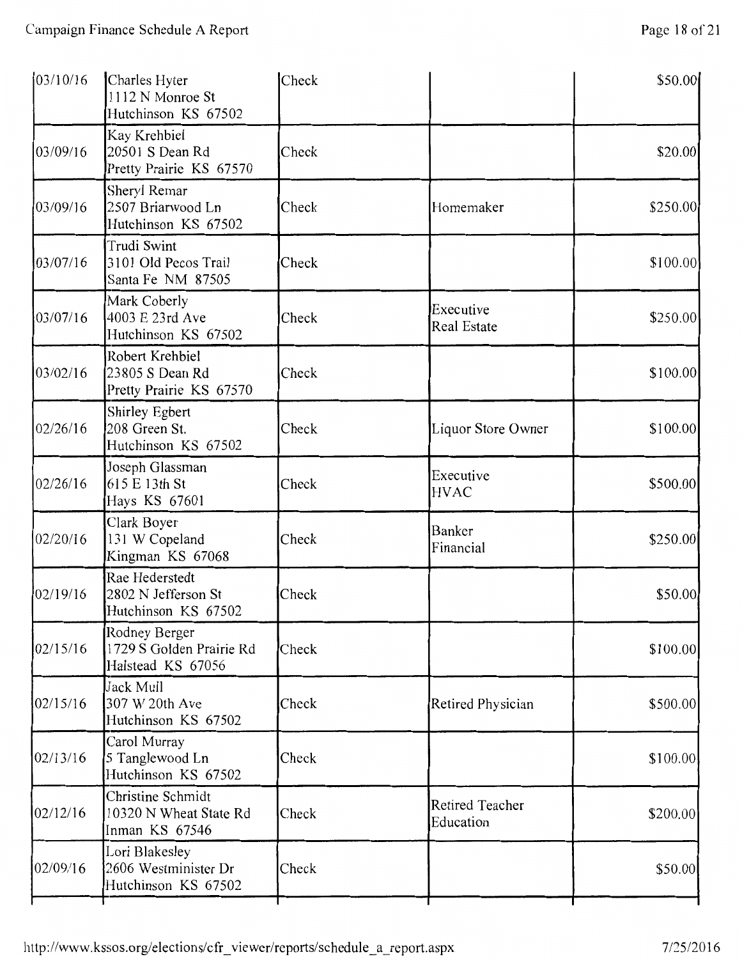| 03/10/16 | Charles Hyter<br>1112 N Monroe St<br>Hutchinson KS 67502       | Check |                                     | \$50.00   |
|----------|----------------------------------------------------------------|-------|-------------------------------------|-----------|
| 03/09/16 | Kay Krehbiel<br>20501 S Dean Rd<br>Pretty Prairie KS 67570     | Check |                                     | \$20.00   |
| 03/09/16 | Sheryl Remar<br>2507 Briarwood Ln<br>Hutchinson KS 67502       | Check | Homemaker                           | \$250.00  |
| 03/07/16 | Trudi Swint<br>3101 Old Pecos Trail<br>Santa Fe NM 87505       | Check |                                     | \$100.00  |
| 03/07/16 | Mark Coberly<br>4003 E 23rd Ave<br>Hutchinson KS 67502         | Check | Executive<br><b>Real Estate</b>     | \$250.00  |
| 03/02/16 | Robert Krehbiel<br>23805 S Dean Rd<br>Pretty Prairie KS 67570  | Check |                                     | \$100.00  |
| 02/26/16 | Shirley Egbert<br>208 Green St.<br>Hutchinson KS 67502         | Check | Liquor Store Owner                  | \$100.00  |
| 02/26/16 | Joseph Glassman<br>615 E 13th St<br>Hays KS 67601              | Check | Executive<br><b>HVAC</b>            | \$500.00  |
| 02/20/16 | Clark Boyer<br>131 W Copeland<br>Kingman KS 67068              | Check | Banker<br>Financial                 | \$250.00  |
| 02/19/16 | Rae Hederstedt<br>2802 N Jefferson St<br>Hutchinson KS 67502   | Check |                                     | \$50.00   |
| 02/15/16 | Rodney Berger<br>1729 S Golden Prairie Rd<br>Halstead KS 67056 | Check |                                     | \$100.00] |
| 02/15/16 | Jack Mull<br>307 W 20th Ave<br>Hutchinson KS 67502             | Check | Retired Physician                   | \$500.00  |
| 02/13/16 | Carol Murray<br>5 Tanglewood Ln<br>Hutchinson KS 67502         | Check |                                     | \$100.00  |
| 02/12/16 | Christine Schmidt<br>10320 N Wheat State Rd<br>Inman KS 67546  | Check | <b>Retired Teacher</b><br>Education | \$200.00  |
| 02/09/16 | Lori Blakesley<br>2606 Westminister Dr<br>Hutchinson KS 67502  | Check |                                     | \$50.00   |
|          |                                                                |       |                                     |           |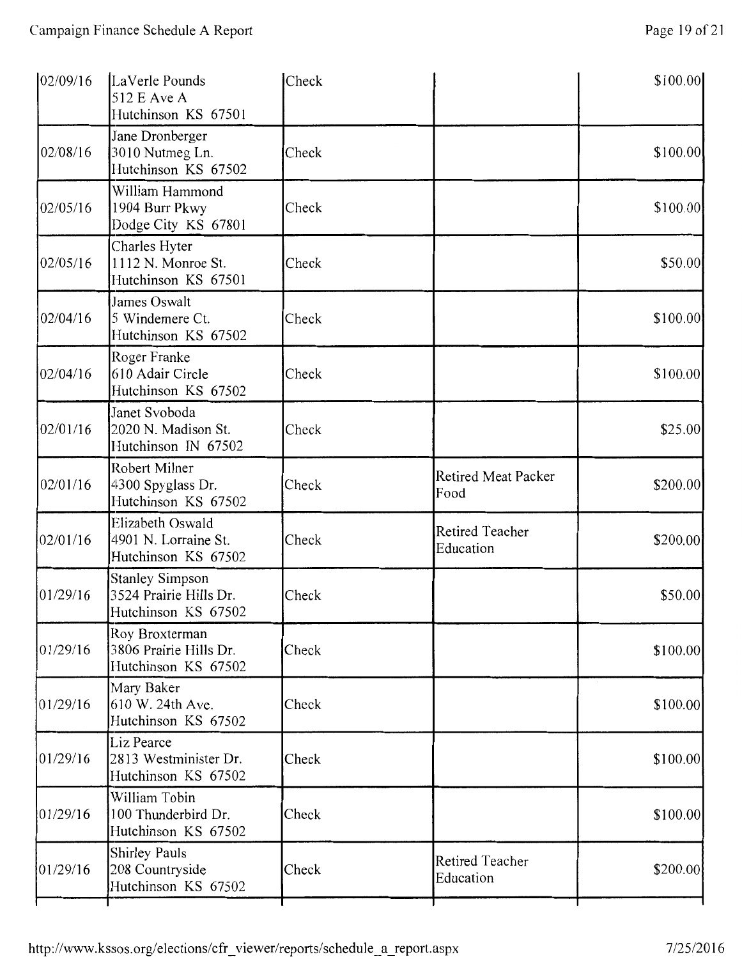| 02/09/16 | LaVerle Pounds<br>512 E Ave A<br>Hutchinson KS 67501                    | Check |                                     | \$100.00] |
|----------|-------------------------------------------------------------------------|-------|-------------------------------------|-----------|
| 02/08/16 | Jane Dronberger<br>3010 Nutmeg Ln.<br>Hutchinson KS 67502               | Check |                                     | \$100.00  |
| 02/05/16 | William Hammond<br>1904 Burr Pkwy<br>Dodge City KS 67801                | Check |                                     | \$100.00  |
| 02/05/16 | Charles Hyter<br>1112 N. Monroe St.<br>Hutchinson KS 67501              | Check |                                     | \$50.00   |
| 02/04/16 | James Oswalt<br>5 Windemere Ct.<br>Hutchinson KS 67502                  | Check |                                     | \$100.00  |
| 02/04/16 | Roger Franke<br>610 Adair Circle<br>Hutchinson KS 67502                 | Check |                                     | \$100.00  |
| 02/01/16 | Janet Svoboda<br>2020 N. Madison St.<br>Hutchinson IN 67502             | Check |                                     | \$25.00   |
| 02/01/16 | Robert Milner<br>4300 Spyglass Dr.<br>Hutchinson KS 67502               | Check | <b>Retired Meat Packer</b><br>Food  | \$200.00  |
| 02/01/16 | Elizabeth Oswald<br>4901 N. Lorraine St.<br>Hutchinson KS 67502         | Check | <b>Retired Teacher</b><br>Education | \$200.00  |
| 01/29/16 | <b>Stanley Simpson</b><br>3524 Prairie Hills Dr.<br>Hutchinson KS 67502 | Check |                                     | \$50.00   |
| 01/29/16 | Roy Broxterman<br>3806 Prairie Hills Dr.<br>Hutchinson KS 67502         | Check |                                     | \$100.00  |
| 01/29/16 | Mary Baker<br>610 W. 24th Ave.<br>Hutchinson KS 67502                   | Check |                                     | \$100.00  |
| 01/29/16 | Liz Pearce<br>2813 Westminister Dr.<br>Hutchinson KS 67502              | Check |                                     | \$100.00  |
| 01/29/16 | William Tobin<br>100 Thunderbird Dr.<br>Hutchinson KS 67502             | Check |                                     | \$100.00  |

Shirley Pauls<br>
208 Countryside Check Education Education \$200.00 Retired Teacher \$200.00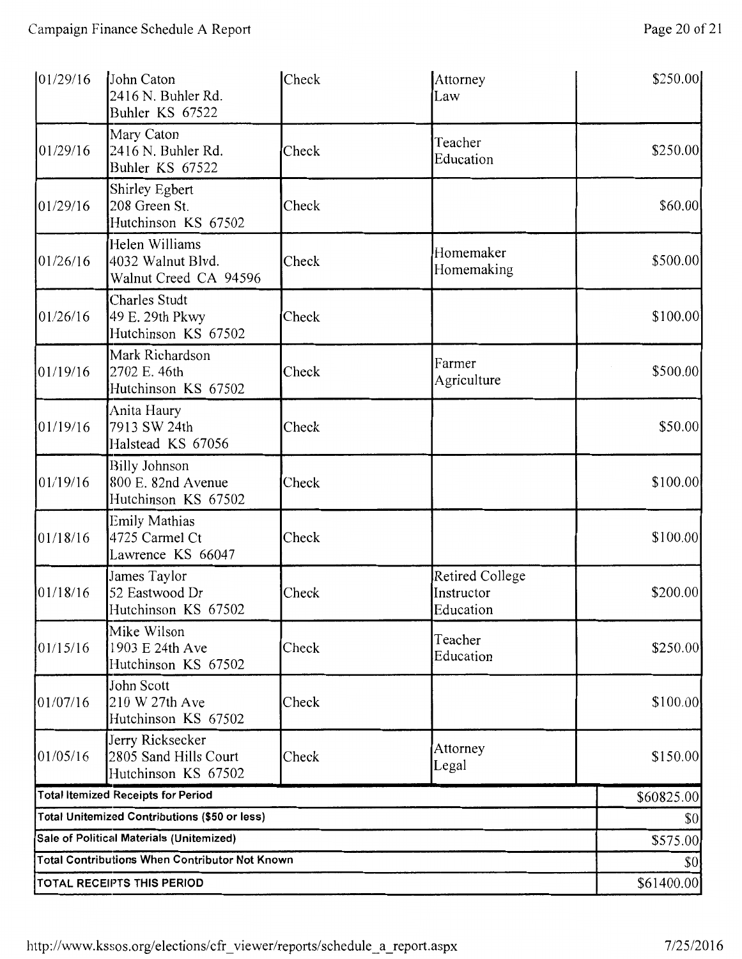| 01/29/16 | John Caton<br>2416 N. Buhler Rd.<br>Buhler KS 67522               | Check | Attorney<br>Law                            | \$250.00   |  |
|----------|-------------------------------------------------------------------|-------|--------------------------------------------|------------|--|
| 01/29/16 | Mary Caton<br>2416 N. Buhler Rd.<br>Buhler KS 67522               | Check | Teacher<br>Education                       | \$250.00   |  |
| 01/29/16 | Shirley Egbert<br>208 Green St.<br>Hutchinson KS 67502            | Check |                                            | \$60.00    |  |
| 01/26/16 | Helen Williams<br>4032 Walnut Blvd.<br>Walnut Creed CA 94596      | Check | Homemaker<br>Homemaking                    | \$500.00   |  |
| 01/26/16 | Charles Studt<br>49 E. 29th Pkwy<br>Hutchinson KS 67502           | Check |                                            | \$100.00   |  |
| 01/19/16 | Mark Richardson<br>2702 E. 46th<br>Hutchinson KS 67502            | Check | Farmer<br>Agriculture                      | \$500.00   |  |
| 01/19/16 | Anita Haury<br>7913 SW 24th<br>Halstead KS 67056                  | Check |                                            | \$50.00    |  |
| 01/19/16 | <b>Billy Johnson</b><br>800 E. 82nd Avenue<br>Hutchinson KS 67502 | Check |                                            | \$100.00   |  |
| 01/18/16 | Emily Mathias<br>4725 Carmel Ct<br>Lawrence KS 66047              | Check |                                            | \$100.00   |  |
| 01/18/16 | James Taylor<br>52 Eastwood Dr<br>Hutchinson KS 67502             | Check | Retired College<br>Instructor<br>Education | \$200.00   |  |
| 01/15/16 | Mike Wilson<br>1903 E 24th Ave<br>Hutchinson KS 67502             | Check | Teacher<br>Education                       | \$250.00   |  |
| 01/07/16 | John Scott<br>210 W 27th Ave<br>Hutchinson KS 67502               | Check |                                            | \$100.00   |  |
| 01/05/16 | Jerry Ricksecker<br>2805 Sand Hills Court<br>Hutchinson KS 67502  | Check | Attorney<br>Legal                          | \$150.00   |  |
|          | <b>Total Itemized Receipts for Period</b>                         |       |                                            | \$60825.00 |  |
|          | <b>Total Unitemized Contributions (\$50 or less)</b>              |       |                                            | \$0        |  |
|          | Sale of Political Materials (Unitemized)                          |       |                                            | \$575.00   |  |
|          | <b>Total Contributions When Contributor Not Known</b>             |       |                                            | \$0        |  |
|          | <b>TOTAL RECEIPTS THIS PERIOD</b>                                 |       |                                            |            |  |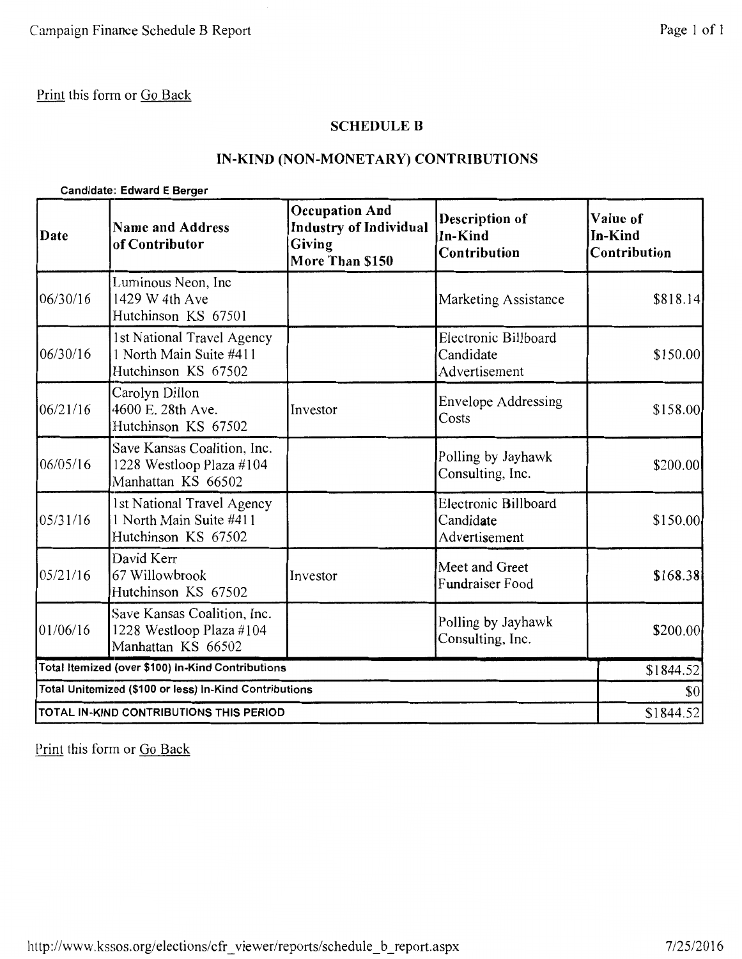#### SCHEDULE B

### IN-KIND (NON-MONETARY) CONTRIBUTIONS

#### Candidate: Edward E Berger

| Date     | <b>Name and Address</b><br>of Contributor                                     | <b>Occupation And</b><br><b>Industry of Individual</b><br><b>Giving</b><br>More Than \$150 | <b>Description of</b><br>In-Kind<br>Contribution   | Value of<br>In-Kind<br>Contribution |
|----------|-------------------------------------------------------------------------------|--------------------------------------------------------------------------------------------|----------------------------------------------------|-------------------------------------|
| 06/30/16 | Luminous Neon, Inc<br>1429 W 4th Ave<br>Hutchinson KS 67501                   |                                                                                            | Marketing Assistance                               | \$818.14                            |
| 06/30/16 | 1st National Travel Agency<br>1 North Main Suite #411<br>Hutchinson KS 67502  |                                                                                            | Electronic Billboard<br>Candidate<br>Advertisement | \$150.00                            |
| 06/21/16 | Carolyn Dillon<br>4600 E. 28th Ave.<br>Hutchinson KS 67502                    | Investor                                                                                   | <b>Envelope Addressing</b><br>Costs                | \$158.00                            |
| 06/05/16 | Save Kansas Coalition, Inc.<br>1228 Westloop Plaza #104<br>Manhattan KS 66502 |                                                                                            | Polling by Jayhawk<br>Consulting, Inc.             | \$200.00                            |
| 05/31/16 | 1st National Travel Agency<br>1 North Main Suite #411<br>Hutchinson KS 67502  |                                                                                            | Electronic Billboard<br>Candidate<br>Advertisement | \$150.00                            |
| 05/21/16 | David Kerr<br>67 Willowbrook<br>Hutchinson KS 67502                           | Investor                                                                                   | Meet and Greet<br><b>Fundraiser Food</b>           | \$168.38                            |
| 01/06/16 | Save Kansas Coalition, Inc.<br>1228 Westloop Plaza #104<br>Manhattan KS 66502 |                                                                                            | Polling by Jayhawk<br>Consulting, Inc.             | \$200.00                            |
|          | Total Itemized (over \$100) in-Kind Contributions                             |                                                                                            |                                                    | \$1844.52                           |
|          | Total Unitemized (\$100 or less) In-Kind Contributions                        |                                                                                            |                                                    | \$0                                 |
|          | TOTAL IN-KIND CONTRIBUTIONS THIS PERIOD                                       |                                                                                            |                                                    | \$1844.52                           |

Print this form or Go Back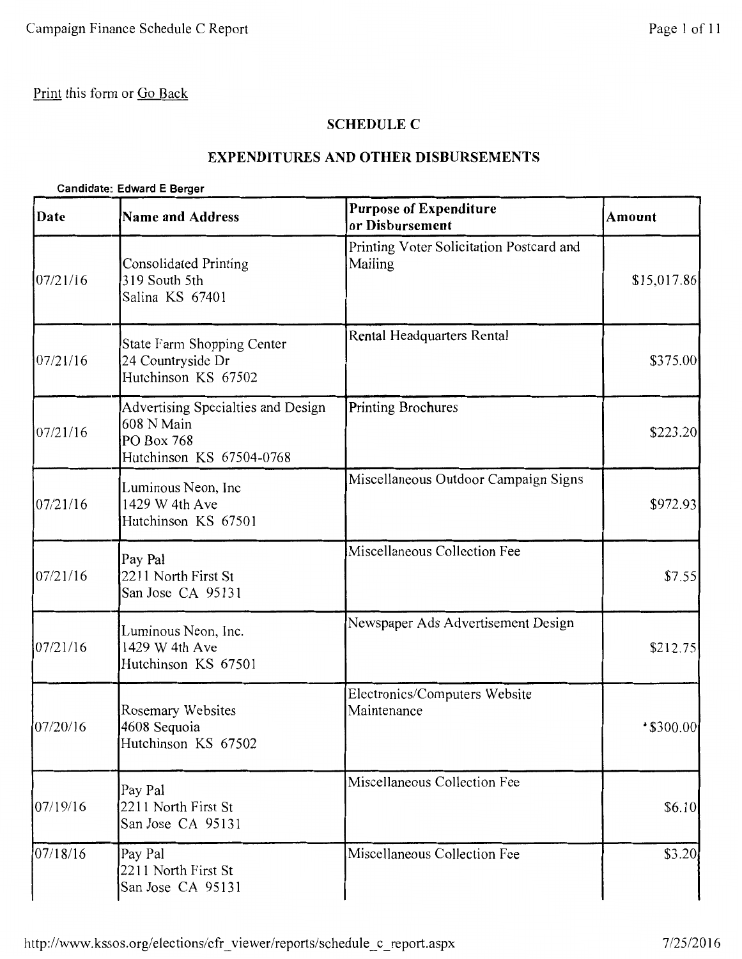### **SCHEDULE C**

## **EXPENDITURES AND OTHER DISBURSEMENTS**

#### **Candidate: Edward E Berger**

| Date     | <b>Name and Address</b>                                                                    | <b>Purpose of Expenditure</b><br>or Disbursement    | <b>Amount</b>         |
|----------|--------------------------------------------------------------------------------------------|-----------------------------------------------------|-----------------------|
| 07/21/16 | <b>Consolidated Printing</b><br>319 South 5th<br>Salina KS 67401                           | Printing Voter Solicitation Postcard and<br>Mailing | \$15,017.86           |
| 07/21/16 | State Farm Shopping Center<br>24 Countryside Dr<br>Hutchinson KS 67502                     | Rental Headquarters Rental                          | \$375.00              |
| 07/21/16 | Advertising Specialties and Design<br>608 N Main<br>PO Box 768<br>Hutchinson KS 67504-0768 | Printing Brochures                                  | \$223.20              |
| 07/21/16 | Luminous Neon, Inc<br>1429 W 4th Ave<br>Hutchinson KS 67501                                | Miscellaneous Outdoor Campaign Signs                | \$972.93              |
| 07/21/16 | Pay Pal<br>2211 North First St<br>San Jose CA 95131                                        | Miscellaneous Collection Fee                        | \$7.55                |
| 07/21/16 | Luminous Neon, Inc.<br>1429 W 4th Ave<br>Hutchinson KS 67501                               | Newspaper Ads Advertisement Design                  | \$212.75              |
| 07/20/16 | Rosemary Websites<br>4608 Sequoia<br>Hutchinson KS 67502                                   | Electronics/Computers Website<br>Maintenance        | $^{\bullet}$ \$300.00 |
| 07/19/16 | Pay Pal<br>2211 North First St<br>San Jose CA 95131                                        | Miscellaneous Collection Fee                        | \$6.10                |
| 07/18/16 | Pay Pal<br>2211 North First St<br>San Jose CA 95131                                        | Miscellaneous Collection Fee                        | \$3.20                |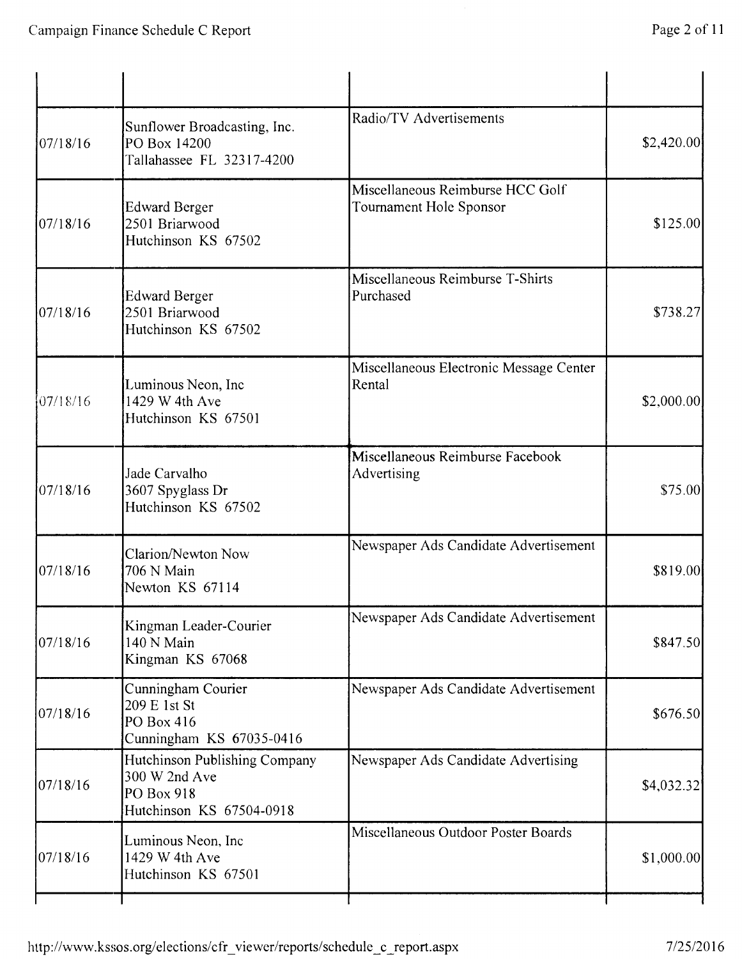| 07/18/16 | Sunflower Broadcasting, Inc.<br>PO Box 14200<br>Tallahassee FL 32317-4200                | Radio/TV Advertisements                                     | \$2,420.00  |
|----------|------------------------------------------------------------------------------------------|-------------------------------------------------------------|-------------|
| 07/18/16 | <b>Edward Berger</b><br>2501 Briarwood<br>Hutchinson KS 67502                            | Miscellaneous Reimburse HCC Golf<br>Tournament Hole Sponsor | \$125.00    |
| 07/18/16 | <b>Edward Berger</b><br>2501 Briarwood<br>Hutchinson KS 67502                            | Miscellaneous Reimburse T-Shirts<br>Purchased               | \$738.27    |
| 07/18/16 | Luminous Neon, Inc<br>1429 W 4th Ave<br>Hutchinson KS 67501                              | Miscellaneous Electronic Message Center<br>Rental           | \$2,000.00] |
| 07/18/16 | Jade Carvalho<br>3607 Spyglass Dr<br>Hutchinson KS 67502                                 | Miscellaneous Reimburse Facebook<br>Advertising             | \$75.00     |
| 07/18/16 | Clarion/Newton Now<br>706 N Main<br>Newton KS 67114                                      | Newspaper Ads Candidate Advertisement                       | \$819.00    |
| 07/18/16 | Kingman Leader-Courier<br>140 N Main<br>Kingman KS 67068                                 | Newspaper Ads Candidate Advertisement                       | \$847.50    |
| 07/18/16 | Cunningham Courier<br>209 E 1st St<br>PO Box 416<br>Cunningham KS 67035-0416             | Newspaper Ads Candidate Advertisement                       | \$676.50    |
| 07/18/16 | Hutchinson Publishing Company<br>300 W 2nd Ave<br>PO Box 918<br>Hutchinson KS 67504-0918 | Newspaper Ads Candidate Advertising                         | \$4,032.32  |
| 07/18/16 | Luminous Neon, Inc<br>1429 W 4th Ave<br>Hutchinson KS 67501                              | Miscellaneous Outdoor Poster Boards                         | \$1,000.00  |
|          |                                                                                          |                                                             |             |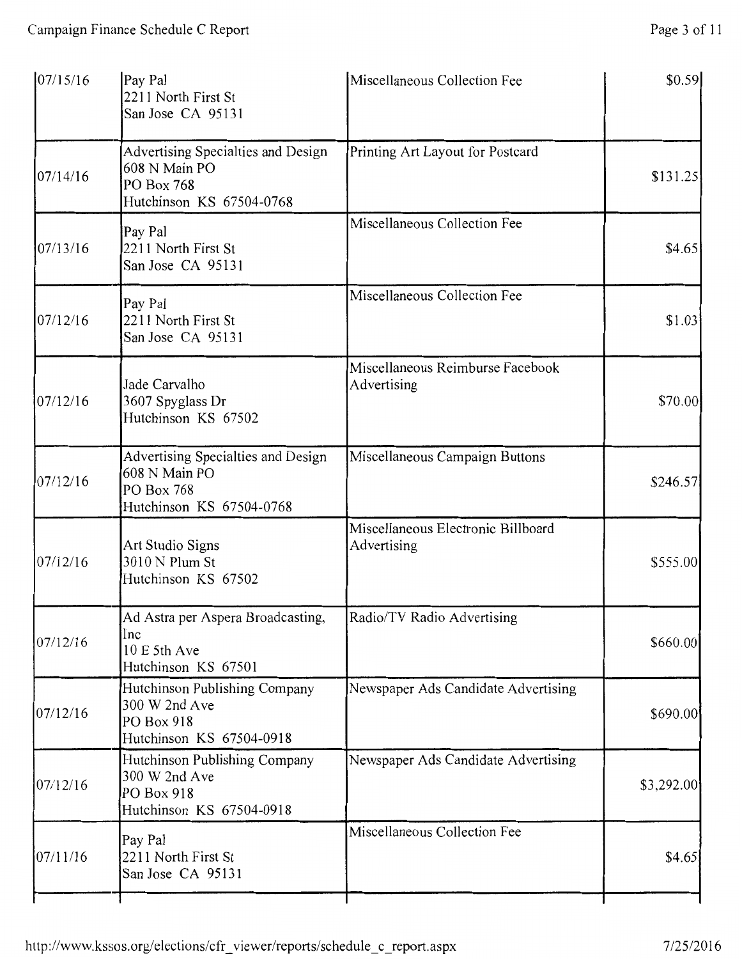| 07/15/16 | Pay Pal<br>2211 North First St<br>San Jose CA 95131                                           | Miscellaneous Collection Fee                      | \$0.59     |
|----------|-----------------------------------------------------------------------------------------------|---------------------------------------------------|------------|
| 07/14/16 | Advertising Specialties and Design<br>608 N Main PO<br>PO Box 768<br>Hutchinson KS 67504-0768 | Printing Art Layout for Postcard                  | \$131.25   |
| 07/13/16 | Pay Pal<br>2211 North First St<br>San Jose CA 95131                                           | Miscellaneous Collection Fee                      | \$4.65     |
| 07/12/16 | Pay Pal<br>2211 North First St<br>San Jose CA 95131                                           | Miscellaneous Collection Fee                      | \$1.03     |
| 07/12/16 | Jade Carvalho<br>3607 Spyglass Dr<br>Hutchinson KS 67502                                      | Miscellaneous Reimburse Facebook<br>Advertising   | \$70.00    |
| 07/12/16 | Advertising Specialties and Design<br>608 N Main PO<br>PO Box 768<br>Hutchinson KS 67504-0768 | Miscellaneous Campaign Buttons                    | \$246.57   |
| 07/12/16 | Art Studio Signs<br>3010 N Plum St<br>Hutchinson KS 67502                                     | Miscellaneous Electronic Billboard<br>Advertising | \$555.00   |
| 07/12/16 | Ad Astra per Aspera Broadcasting,<br>Inc<br>10 E 5th Ave<br>Hutchinson KS 67501               | Radio/TV Radio Advertising                        | \$660.00   |
| 07/12/16 | Hutchinson Publishing Company<br>300 W 2nd Ave<br>PO Box 918<br>Hutchinson KS 67504-0918      | Newspaper Ads Candidate Advertising               | \$690.00   |
| 07/12/16 | Hutchinson Publishing Company<br>300 W 2nd Ave<br>PO Box 918<br>Hutchinson KS 67504-0918      | Newspaper Ads Candidate Advertising               | \$3,292.00 |
| 07/11/16 | Pay Pal<br>2211 North First St<br>San Jose CA 95131                                           | Miscellaneous Collection Fee                      | \$4.65     |
|          |                                                                                               |                                                   |            |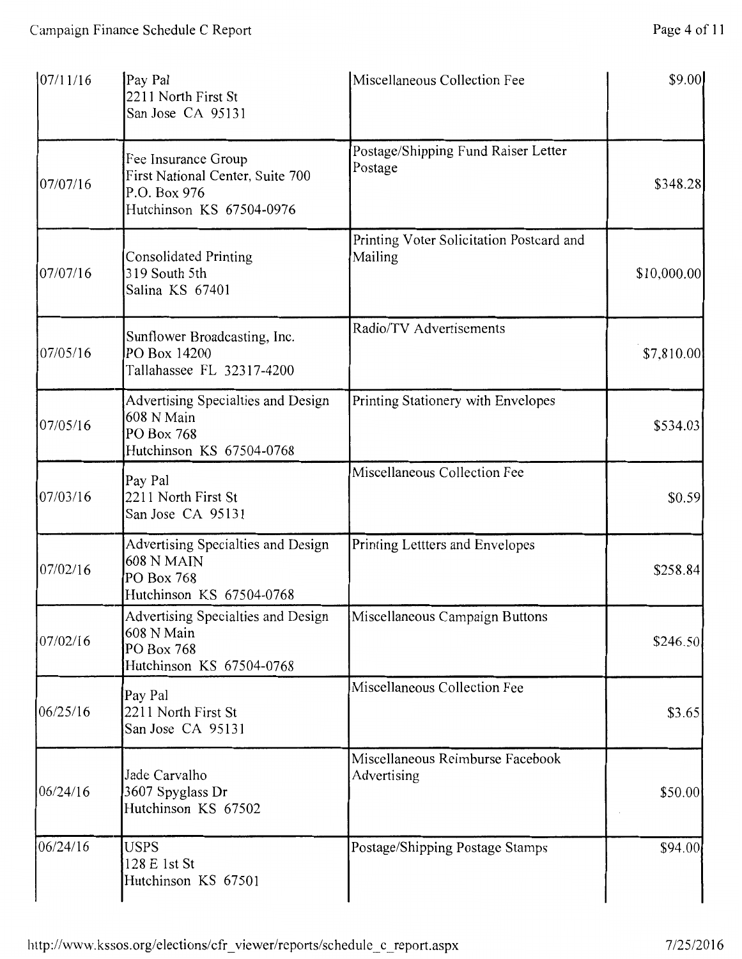| 07/11/16 | Pay Pal<br>2211 North First St<br>San Jose CA 95131                                                 | Miscellaneous Collection Fee                        | \$9.00       |
|----------|-----------------------------------------------------------------------------------------------------|-----------------------------------------------------|--------------|
| 07/07/16 | Fee Insurance Group<br>First National Center, Suite 700<br>P.O. Box 976<br>Hutchinson KS 67504-0976 | Postage/Shipping Fund Raiser Letter<br>Postage      | \$348.28     |
| 07/07/16 | <b>Consolidated Printing</b><br>319 South 5th<br>Salina KS 67401                                    | Printing Voter Solicitation Postcard and<br>Mailing | \$10,000.00] |
| 07/05/16 | Sunflower Broadcasting, Inc.<br>PO Box 14200<br>Tallahassee FL 32317-4200                           | Radio/TV Advertisements                             | \$7,810.00   |
| 07/05/16 | Advertising Specialties and Design<br>608 N Main<br>PO Box 768<br>Hutchinson KS 67504-0768          | Printing Stationery with Envelopes                  | \$534.03     |
| 07/03/16 | Pay Pal<br>2211 North First St<br>San Jose CA 95131                                                 | Miscellaneous Collection Fee                        | \$0.59       |
| 07/02/16 | Advertising Specialties and Design<br><b>608 N MAIN</b><br>PO Box 768<br>Hutchinson KS 67504-0768   | Printing Lettters and Envelopes                     | \$258.84     |
| 07/02/16 | Advertising Specialties and Design<br>608 N Main<br>PO Box 768<br>Hutchinson KS 67504-0768          | Miscellaneous Campaign Buttons                      | \$246.50     |
| 06/25/16 | Pay Pal<br>2211 North First St<br>San Jose CA 95131                                                 | Miscellaneous Collection Fee                        | \$3.65       |
| 06/24/16 | Jade Carvalho<br>3607 Spyglass Dr<br>Hutchinson KS 67502                                            | Miscellaneous Reimburse Facebook<br>Advertising     | \$50.00      |
| 06/24/16 | <b>USPS</b><br>128 E 1st St<br>Hutchinson KS 67501                                                  | Postage/Shipping Postage Stamps                     | \$94.00      |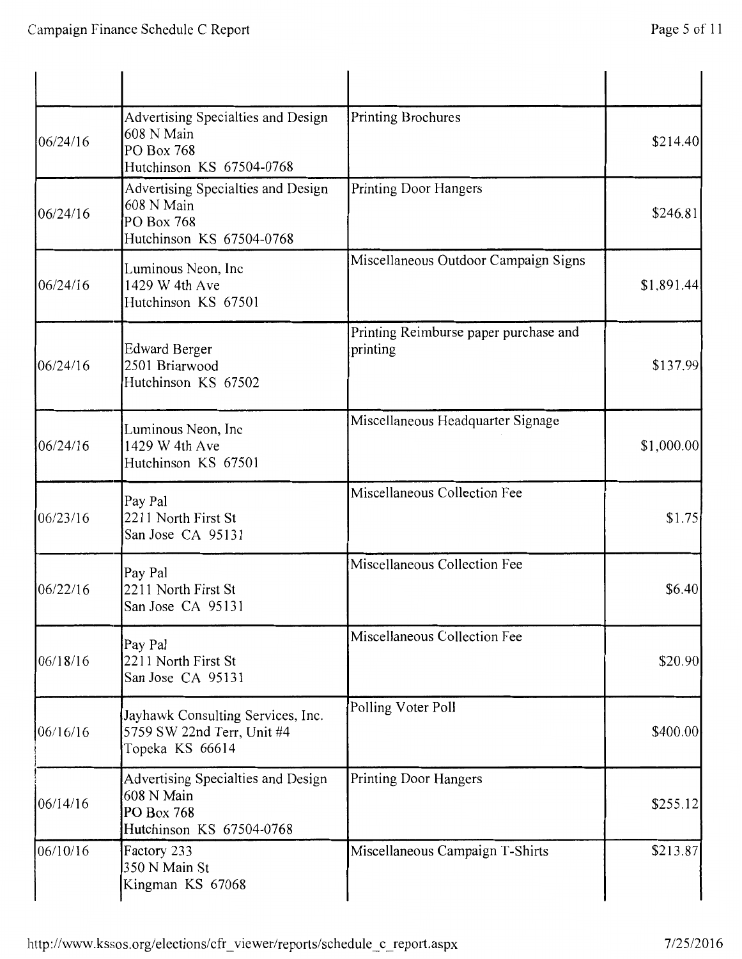| 06/24/16 | Advertising Specialties and Design<br>608 N Main<br>PO Box 768<br>Hutchinson KS 67504-0768 | Printing Brochures                                | \$214.40   |
|----------|--------------------------------------------------------------------------------------------|---------------------------------------------------|------------|
| 06/24/16 | Advertising Specialties and Design<br>608 N Main<br>PO Box 768<br>Hutchinson KS 67504-0768 | <b>Printing Door Hangers</b>                      | \$246.81   |
| 06/24/16 | Luminous Neon, Inc<br>1429 W 4th Ave<br>Hutchinson KS 67501                                | Miscellaneous Outdoor Campaign Signs              | \$1,891.44 |
| 06/24/16 | <b>Edward Berger</b><br>2501 Briarwood<br>Hutchinson KS 67502                              | Printing Reimburse paper purchase and<br>printing | \$137.99   |
| 06/24/16 | Luminous Neon, Inc<br>1429 W 4th Ave<br>Hutchinson KS 67501                                | Miscellaneous Headquarter Signage                 | \$1,000.00 |
| 06/23/16 | Pay Pal<br>2211 North First St<br>San Jose CA 95131                                        | Miscellaneous Collection Fee                      | \$1.75     |
| 06/22/16 | Pay Pal<br>2211 North First St<br>San Jose CA 95131                                        | Miscellaneous Collection Fee                      | \$6.40     |
| 06/18/16 | Pay Pal<br>2211 North First St<br>San Jose CA 95131                                        | Miscellaneous Collection Fee                      | \$20.90    |
| 06/16/16 | Jayhawk Consulting Services, Inc.<br>5759 SW 22nd Terr, Unit #4<br>Topeka KS 66614         | Polling Voter Poll                                | \$400.00   |
| 06/14/16 | Advertising Specialties and Design<br>608 N Main<br>PO Box 768<br>Hutchinson KS 67504-0768 | Printing Door Hangers                             | \$255.12   |
| 06/10/16 | Factory 233<br>350 N Main St<br>Kingman KS 67068                                           | Miscellaneous Campaign T-Shirts                   | \$213.87   |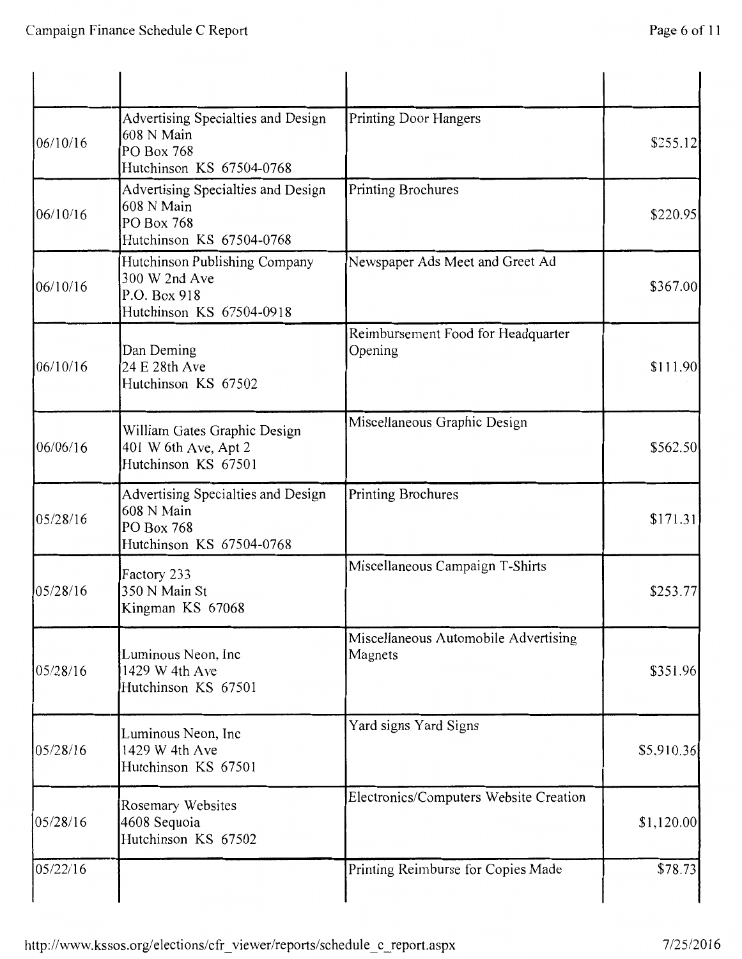| 06/10/16 | Advertising Specialties and Design<br>608 N Main<br>PO Box 768<br>Hutchinson KS 67504-0768 | <b>Printing Door Hangers</b>                    | \$255.12   |
|----------|--------------------------------------------------------------------------------------------|-------------------------------------------------|------------|
| 06/10/16 | Advertising Specialties and Design<br>608 N Main<br>PO Box 768<br>Hutchinson KS 67504-0768 | Printing Brochures                              | \$220.95   |
| 06/10/16 | Hutchinson Publishing Company<br>300 W 2nd Ave<br>P.O. Box 918<br>Hutchinson KS 67504-0918 | Newspaper Ads Meet and Greet Ad                 | \$367.00   |
| 06/10/16 | Dan Deming<br>24 E 28th Ave<br>Hutchinson KS 67502                                         | Reimbursement Food for Headquarter<br>Opening   | \$111.90   |
| 06/06/16 | William Gates Graphic Design<br>401 W 6th Ave, Apt 2<br>Hutchinson KS 67501                | Miscellaneous Graphic Design                    | \$562.50   |
| 05/28/16 | Advertising Specialties and Design<br>608 N Main<br>PO Box 768<br>Hutchinson KS 67504-0768 | Printing Brochures                              | \$171.31   |
| 05/28/16 | Factory 233<br>350 N Main St<br>Kingman KS 67068                                           | Miscellaneous Campaign T-Shirts                 | \$253.77   |
| 05/28/16 | Luminous Neon, Inc<br>1429 W 4th Ave<br>Hutchinson KS 67501                                | Miscellaneous Automobile Advertising<br>Magnets | \$351.96   |
| 05/28/16 | Luminous Neon, Inc<br>1429 W 4th Ave<br>Hutchinson KS 67501                                | Yard signs Yard Signs                           | \$5,910.36 |
| 05/28/16 | Rosemary Websites<br>4608 Sequoia<br>Hutchinson KS 67502                                   | Electronics/Computers Website Creation          | \$1,120.00 |
| 05/22/16 |                                                                                            | Printing Reimburse for Copies Made              | \$78.73    |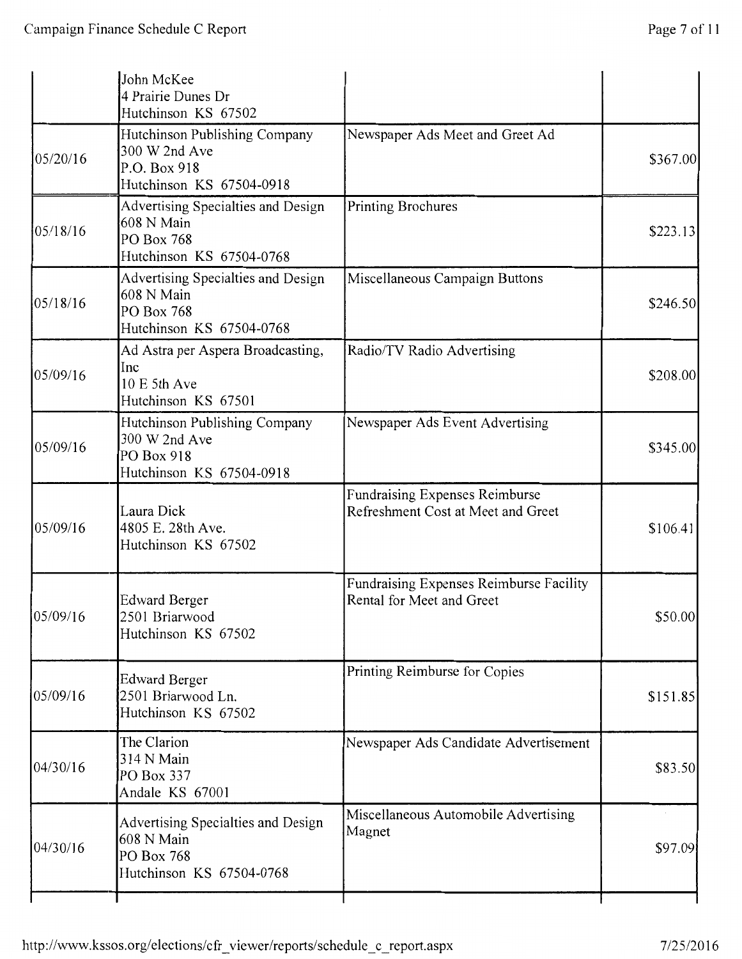|          | John McKee<br>4 Prairie Dunes Dr<br>Hutchinson KS 67502                                    |                                                                      |          |
|----------|--------------------------------------------------------------------------------------------|----------------------------------------------------------------------|----------|
| 05/20/16 | Hutchinson Publishing Company<br>300 W 2nd Ave<br>P.O. Box 918<br>Hutchinson KS 67504-0918 | Newspaper Ads Meet and Greet Ad                                      | \$367.00 |
| 05/18/16 | Advertising Specialties and Design<br>608 N Main<br>PO Box 768<br>Hutchinson KS 67504-0768 | Printing Brochures                                                   | \$223.13 |
| 05/18/16 | Advertising Specialties and Design<br>608 N Main<br>PO Box 768<br>Hutchinson KS 67504-0768 | Miscellaneous Campaign Buttons                                       | \$246.50 |
| 05/09/16 | Ad Astra per Aspera Broadcasting,<br>Inc<br>10 E 5th Ave<br>Hutchinson KS 67501            | Radio/TV Radio Advertising                                           | \$208.00 |
| 05/09/16 | Hutchinson Publishing Company<br>300 W 2nd Ave<br>PO Box 918<br>Hutchinson KS 67504-0918   | Newspaper Ads Event Advertising                                      | \$345.00 |
| 05/09/16 | Laura Dick<br>4805 E. 28th Ave.<br>Hutchinson KS 67502                                     | Fundraising Expenses Reimburse<br>Refreshment Cost at Meet and Greet | \$106.41 |
| 05/09/16 | Edward Berger<br>2501 Briarwood<br>Hutchinson KS 67502                                     | Fundraising Expenses Reimburse Facility<br>Rental for Meet and Greet | \$50.00  |
| 05/09/16 | <b>Edward Berger</b><br>2501 Briarwood Ln.<br>Hutchinson KS 67502                          | Printing Reimburse for Copies                                        | \$151.85 |
| 04/30/16 | The Clarion<br>314 N Main<br>PO Box 337<br>Andale KS 67001                                 | Newspaper Ads Candidate Advertisement                                | \$83.50  |
| 04/30/16 | Advertising Specialties and Design<br>608 N Main<br>PO Box 768<br>Hutchinson KS 67504-0768 | Miscellaneous Automobile Advertising<br>Magnet                       | \$97.09  |
|          |                                                                                            |                                                                      |          |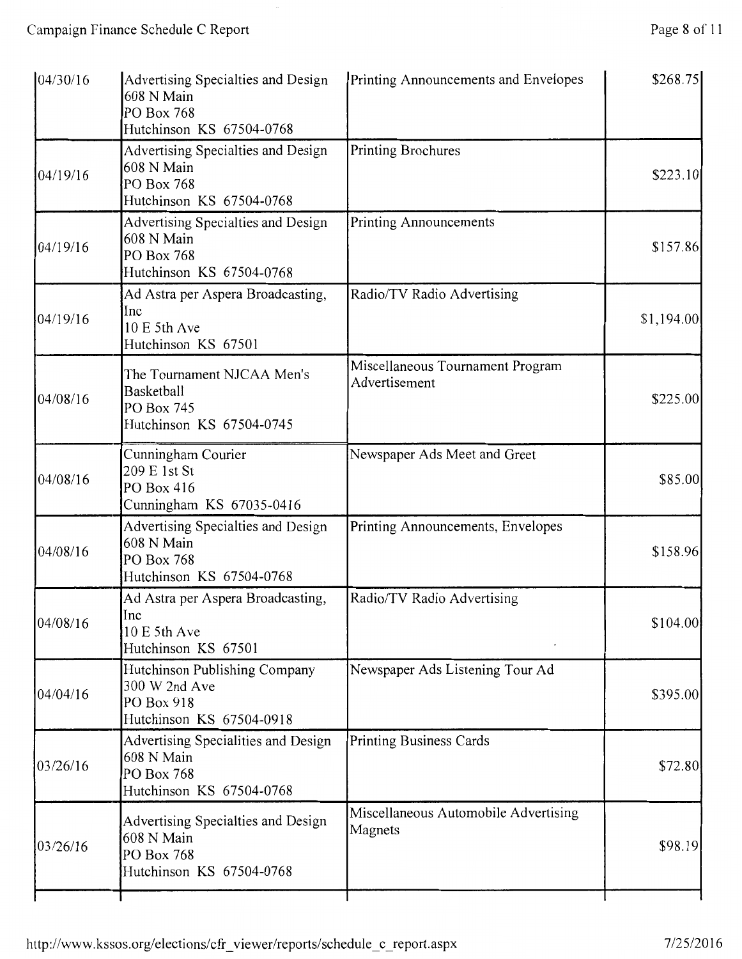| 104/30/16 | Advertising Specialties and Design<br>608 N Main<br>PO Box 768<br>Hutchinson KS 67504-0768  | Printing Announcements and Envelopes              | \$268.75   |
|-----------|---------------------------------------------------------------------------------------------|---------------------------------------------------|------------|
| 04/19/16  | Advertising Specialties and Design<br>608 N Main<br>PO Box 768<br>Hutchinson KS 67504-0768  | Printing Brochures                                | \$223.10   |
| 04/19/16  | Advertising Specialties and Design<br>608 N Main<br>PO Box 768<br>Hutchinson KS 67504-0768  | Printing Announcements                            | \$157.86   |
| 04/19/16  | Ad Astra per Aspera Broadcasting,<br>Inc<br>10 E 5th Ave<br>Hutchinson KS 67501             | Radio/TV Radio Advertising                        | \$1,194.00 |
| 04/08/16  | The Tournament NJCAA Men's<br>Basketball<br>PO Box 745<br>Hutchinson KS 67504-0745          | Miscellaneous Tournament Program<br>Advertisement | \$225.00   |
| 04/08/16  | Cunningham Courier<br>209 E 1st St<br>PO Box 416<br>Cunningham KS 67035-0416                | Newspaper Ads Meet and Greet                      | \$85.00    |
| 04/08/16  | Advertising Specialties and Design<br>608 N Main<br>PO Box 768<br>Hutchinson KS 67504-0768  | Printing Announcements, Envelopes                 | \$158.96   |
| 04/08/16  | Ad Astra per Aspera Broadcasting,<br>Inc<br>10 E 5th Ave<br>Hutchinson KS 67501             | Radio/TV Radio Advertising                        | \$104.00   |
| 04/04/16  | Hutchinson Publishing Company<br>300 W 2nd Ave<br>PO Box 918<br>Hutchinson KS 67504-0918    | Newspaper Ads Listening Tour Ad                   | \$395.00   |
| 03/26/16  | Advertising Specialities and Design<br>608 N Main<br>PO Box 768<br>Hutchinson KS 67504-0768 | Printing Business Cards                           | \$72.80    |
| 03/26/16  | Advertising Specialties and Design<br>608 N Main<br>PO Box 768<br>Hutchinson KS 67504-0768  | Miscellaneous Automobile Advertising<br>Magnets   | \$98.19    |
|           |                                                                                             |                                                   |            |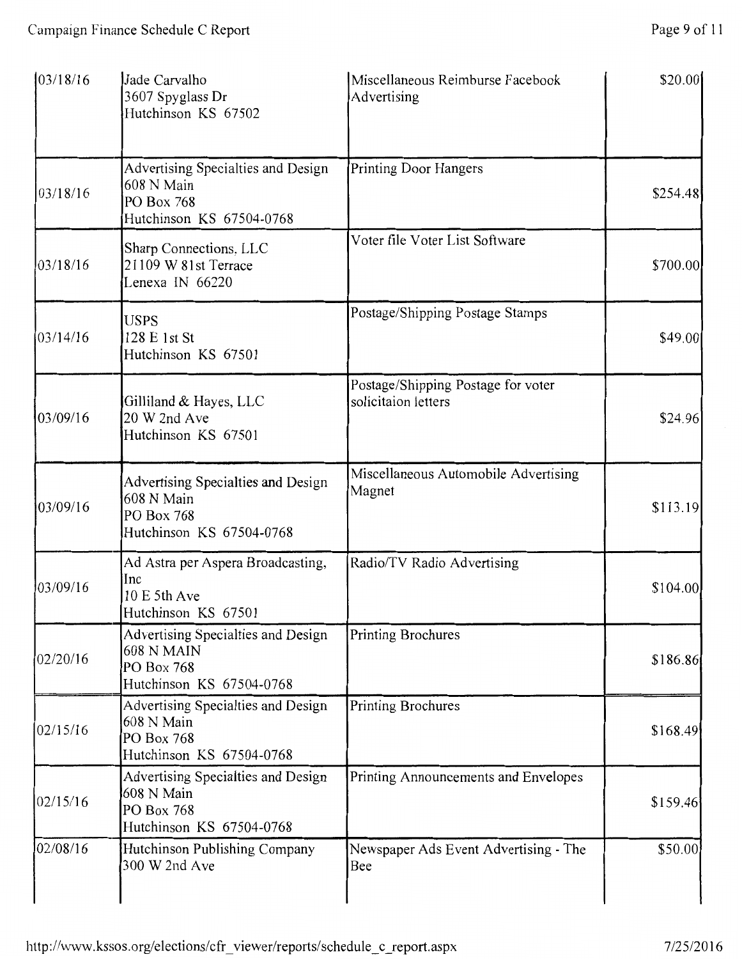| 103/18/16 | Jade Carvalho<br>3607 Spyglass Dr<br>Hutchinson KS 67502                                          | Miscellaneous Reimburse Facebook<br>Advertising           | \$20.00  |
|-----------|---------------------------------------------------------------------------------------------------|-----------------------------------------------------------|----------|
| 03/18/16  | Advertising Specialties and Design<br>608 N Main<br>PO Box 768<br>Hutchinson KS 67504-0768        | <b>Printing Door Hangers</b>                              | \$254.48 |
| 03/18/16  | Sharp Connections, LLC<br>21109 W 81st Terrace<br>Lenexa IN 66220                                 | Voter file Voter List Software                            | \$700.00 |
| 03/14/16  | <b>USPS</b><br>128 E 1st St<br>Hutchinson KS 67501                                                | Postage/Shipping Postage Stamps                           | \$49.00  |
| 03/09/16  | Gilliland & Hayes, LLC<br>20 W 2nd Ave<br>Hutchinson KS 67501                                     | Postage/Shipping Postage for voter<br>solicitaion letters | \$24.96  |
| 03/09/16  | Advertising Specialties and Design<br>608 N Main<br>PO Box 768<br>Hutchinson KS 67504-0768        | Miscellaneous Automobile Advertising<br>Magnet            | \$113.19 |
| 03/09/16  | Ad Astra per Aspera Broadcasting,<br>Inc<br>10 E 5th Ave<br>Hutchinson KS 67501                   | Radio/TV Radio Advertising                                | \$104.00 |
| 02/20/16  | Advertising Specialties and Design<br><b>608 N MAIN</b><br>PO Box 768<br>Hutchinson KS 67504-0768 | <b>Printing Brochures</b>                                 | \$186.86 |
| 02/15/16  | Advertising Specialties and Design<br>608 N Main<br>PO Box 768<br>Hutchinson KS 67504-0768        | Printing Brochures                                        | \$168.49 |
| 02/15/16  | Advertising Specialties and Design<br>608 N Main<br>PO Box 768<br>Hutchinson KS 67504-0768        | Printing Announcements and Envelopes                      | \$159.46 |
| 02/08/16  | Hutchinson Publishing Company<br>300 W 2nd Ave                                                    | Newspaper Ads Event Advertising - The<br>Bee              | \$50.00  |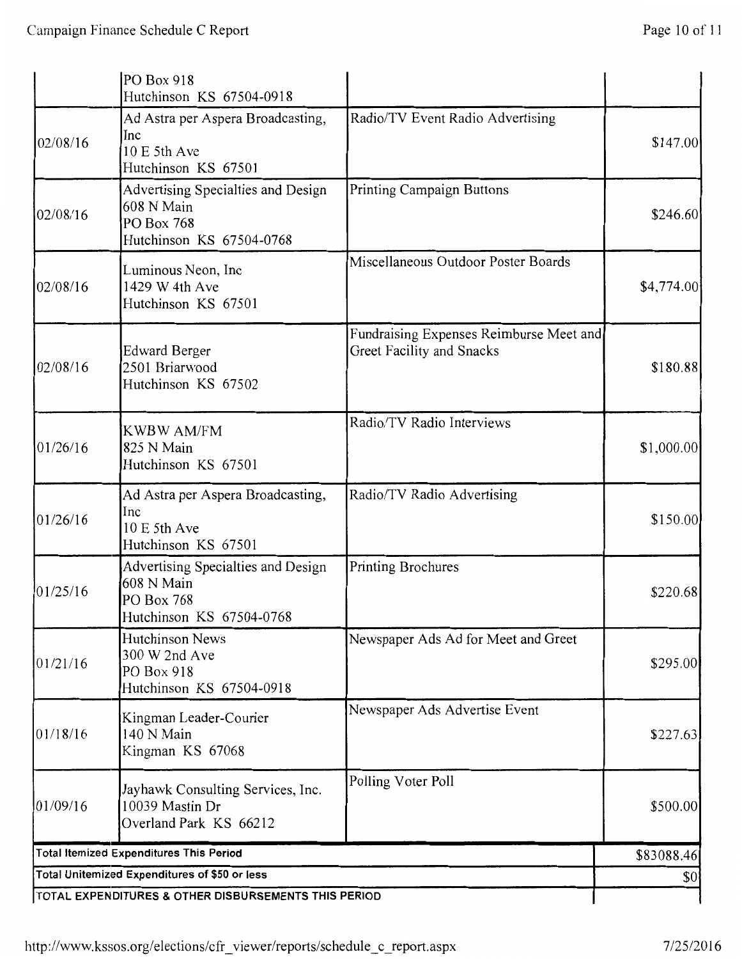|          | PO Box 918                                                                                                  |                                                                      |            |
|----------|-------------------------------------------------------------------------------------------------------------|----------------------------------------------------------------------|------------|
| 02/08/16 | Hutchinson KS 67504-0918<br>Ad Astra per Aspera Broadcasting,<br>Inc<br>10 E 5th Ave<br>Hutchinson KS 67501 | Radio/TV Event Radio Advertising                                     | \$147.00   |
| 02/08/16 | Advertising Specialties and Design<br>608 N Main<br>PO Box 768<br>Hutchinson KS 67504-0768                  | <b>Printing Campaign Buttons</b>                                     | \$246.60   |
| 02/08/16 | Luminous Neon, Inc<br>1429 W 4th Ave<br>Hutchinson KS 67501                                                 | Miscellaneous Outdoor Poster Boards                                  | \$4,774.00 |
| 02/08/16 | <b>Edward Berger</b><br>2501 Briarwood<br>Hutchinson KS 67502                                               | Fundraising Expenses Reimburse Meet and<br>Greet Facility and Snacks | \$180.88   |
| 01/26/16 | <b>KWBW AM/FM</b><br>825 N Main<br>Hutchinson KS 67501                                                      | Radio/TV Radio Interviews                                            | \$1,000.00 |
| 01/26/16 | Ad Astra per Aspera Broadcasting,<br>Inc<br>10 E 5th Ave<br>Hutchinson KS 67501                             | Radio/TV Radio Advertising                                           | \$150.00   |
| 01/25/16 | Advertising Specialties and Design<br>608 N Main<br>PO Box 768<br>Hutchinson KS 67504-0768                  | Printing Brochures                                                   | \$220.68   |
| 01/21/16 | <b>Hutchinson News</b><br>300 W 2nd Ave<br>PO Box 918<br>Hutchinson KS 67504-0918                           | Newspaper Ads Ad for Meet and Greet                                  | \$295.00   |
| 01/18/16 | Kingman Leader-Courier<br>140 N Main<br>Kingman KS 67068                                                    | Newspaper Ads Advertise Event                                        | \$227.63   |
| 01/09/16 | Jayhawk Consulting Services, Inc.<br>10039 Mastin Dr<br>Overland Park KS 66212                              | Polling Voter Poll                                                   | \$500.00   |
|          | <b>Total Itemized Expenditures This Period</b>                                                              |                                                                      | \$83088.46 |
|          | Total Unitemized Expenditures of \$50 or less                                                               |                                                                      | \$0        |
|          | TOTAL EXPENDITURES & OTHER DISBURSEMENTS THIS PERIOD                                                        |                                                                      |            |